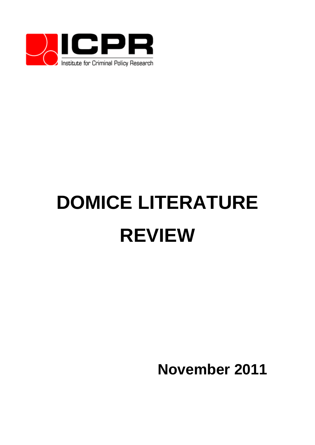

# **DOMICE LITERATURE REVIEW**

**November 2011**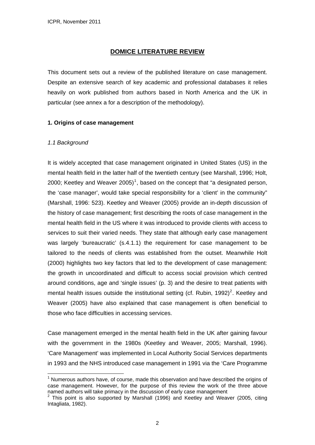# **DOMICE LITERATURE REVIEW**

This document sets out a review of the published literature on case management. Despite an extensive search of key academic and professional databases it relies heavily on work published from authors based in North America and the UK in particular (see annex a for a description of the methodology).

#### **1. Origins of case management**

#### *1.1 Background*

<u>.</u>

It is widely accepted that case management originated in United States (US) in the mental health field in the latter half of the twentieth century (see Marshall, 1996; Holt, 2000; Keetley and Weaver 2005)<sup>[1](#page-1-0)</sup>, based on the concept that "a designated person, the 'case manager', would take special responsibility for a 'client' in the community" (Marshall, 1996: 523). Keetley and Weaver (2005) provide an in-depth discussion of the history of case management; first describing the roots of case management in the mental health field in the US where it was introduced to provide clients with access to services to suit their varied needs. They state that although early case management was largely 'bureaucratic' (s.4.1.1) the requirement for case management to be tailored to the needs of clients was established from the outset. Meanwhile Holt (2000) highlights two key factors that led to the development of case management: the growth in uncoordinated and difficult to access social provision which centred around conditions, age and 'single issues' (p. 3) and the desire to treat patients with mental health issues outside the institutional setting (cf. Rubin, 199[2](#page-1-1))<sup>2</sup>. Keetley and Weaver (2005) have also explained that case management is often beneficial to those who face difficulties in accessing services.

Case management emerged in the mental health field in the UK after gaining favour with the government in the 1980s (Keetley and Weaver, 2005; Marshall, 1996). 'Care Management' was implemented in Local Authority Social Services departments in 1993 and the NHS introduced case management in 1991 via the 'Care Programme

<span id="page-1-0"></span> $1$  Numerous authors have, of course, made this observation and have described the origins of case management. However, for the purpose of this review the work of the three above named authors will take primacy in the discussion of early case management

<span id="page-1-1"></span> $2$  This point is also supported by Marshall (1996) and Keetley and Weaver (2005, citing Intagliata, 1982).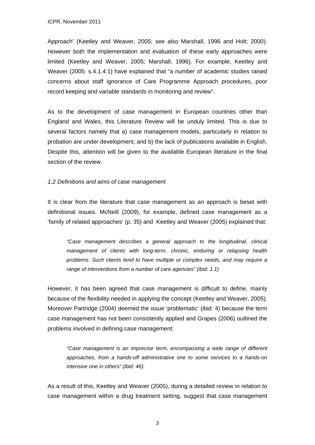Approach' (Keetley and Weaver, 2005; see also Marshall, 1996 and Holt; 2000). However both the implementation and evaluation of these early approaches were limited (Keetley and Weaver, 2005; Marshall, 1996). For example, Keetley and Weaver (2005: s.4.1.4.1) have explained that "a number of academic studies raised concerns about staff ignorance of Care Programme Approach procedures, poor record keeping and variable standards in monitoring and review".

As to the development of case management in European countries other than England and Wales, this Literature Review will be unduly limited. This is due to several factors namely that a) case management models, particularly in relation to probation are under development; and b) the lack of publications available in English. Despite this, attention will be given to the available European literature in the final section of the review.

# *1.2 Definitions and aims of case management*

It is clear from the literature that case management as an approach is beset with definitional issues. McNeill (2009), for example, defined case management as a 'family of related approaches' (p. 35) and Keetley and Weaver (2005) explained that:

*"Case management describes a general approach to the longitudinal, clinical management of clients with long-term, chronic, enduring or relapsing health problems. Such clients tend to have multiple or complex needs, and may require a range of interventions from a number of care agencies" (ibid: 1.1)* 

However, it has been agreed that case management is difficult to define, mainly because of the flexibility needed in applying the concept (Keetley and Weaver, 2005). Moreover Partridge (2004) deemed the issue 'problematic' (ibid: 4) because the term case management has not been consistently applied and Grapes (2006) outlined the problems involved in defining case management:

*"Case management is an imprecise term, encompassing a wide range of different approaches, from a hands-off administrative one to some services to a hands-on intensive one in others" (ibid: 46).* 

As a result of this, Keetley and Weaver (2005), during a detailed review in relation to case management within a drug treatment setting, suggest that case management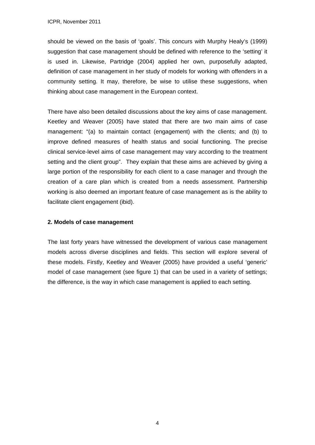should be viewed on the basis of 'goals'. This concurs with Murphy Healy's (1999) suggestion that case management should be defined with reference to the 'setting' it is used in. Likewise, Partridge (2004) applied her own, purposefully adapted, definition of case management in her study of models for working with offenders in a community setting. It may, therefore, be wise to utilise these suggestions, when thinking about case management in the European context.

There have also been detailed discussions about the key aims of case management. Keetley and Weaver (2005) have stated that there are two main aims of case management: "(a) to maintain contact (engagement) with the clients; and (b) to improve defined measures of health status and social functioning. The precise clinical service-level aims of case management may vary according to the treatment setting and the client group". They explain that these aims are achieved by giving a large portion of the responsibility for each client to a case manager and through the creation of a care plan which is created from a needs assessment. Partnership working is also deemed an important feature of case management as is the ability to facilitate client engagement (ibid).

# **2. Models of case management**

The last forty years have witnessed the development of various case management models across diverse disciplines and fields. This section will explore several of these models. Firstly, Keetley and Weaver (2005) have provided a useful 'generic' model of case management (see figure 1) that can be used in a variety of settings; the difference, is the way in which case management is applied to each setting.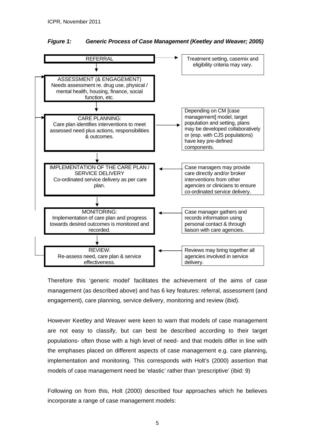



Therefore this 'generic model' facilitates the achievement of the aims of case management (as described above) and has 6 key features: referral, assessment (and engagement), care planning, service delivery, monitoring and review (ibid).

However Keetley and Weaver were keen to warn that models of case management are not easy to classify, but can best be described according to their target populations- often those with a high level of need- and that models differ in line with the emphases placed on different aspects of case management e.g. care planning, implementation and monitoring. This corresponds with Holt's (2000) assertion that models of case management need be 'elastic' rather than 'prescriptive' (ibid: 9)

Following on from this, Holt (2000) described four approaches which he believes incorporate a range of case management models: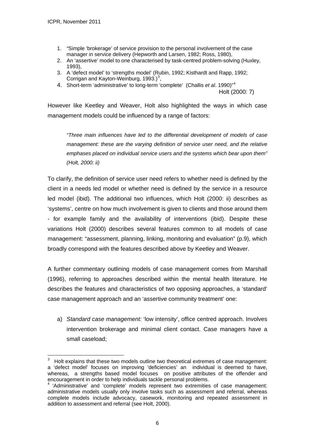<u>.</u>

- 1. "Simple 'brokerage' of service provision to the personal involvement of the case manager in service delivery (Hepworth and Larsen, 1982; Ross, 1980),
- 2. An 'assertive' model to one characterised by task-centred problem-solving (Huxley, 1993),
- 3. A 'defect model' to 'strengths model' (Rubin, 1992; Kisthardt and Rapp, 1992; Corrigan and Kayton-Weinburg,  $1993.$  $1993.$  $1993.$ )<sup>3</sup>,
- 4. Short-term 'administrative' to long-term 'complete' (Challis *et al*. 1990)"[4](#page-5-1)

Holt (2000: 7)

However like Keetley and Weaver, Holt also highlighted the ways in which case management models could be influenced by a range of factors:

*"Three main influences have led to the differential development of models of case management: these are the varying definition of service user need, and the relative emphases placed on individual service users and the systems which bear upon them" (Holt, 2000: ii)* 

To clarify, the definition of service user need refers to whether need is defined by the client in a needs led model or whether need is defined by the service in a resource led model (ibid). The additional two influences, which Holt (2000: ii) describes as 'systems', centre on how much involvement is given to clients and those around them - for example family and the availability of interventions (ibid). Despite these variations Holt (2000) describes several features common to all models of case management: "assessment, planning, linking, monitoring and evaluation" (p.9), which broadly correspond with the features described above by Keetley and Weaver.

A further commentary outlining models of case management comes from Marshall (1996), referring to approaches described within the mental health literature. He describes the features and characteristics of two opposing approaches, a 'standard' case management approach and an 'assertive community treatment' one:

a) *Standard case management:* 'low intensity', office centred approach. Involves intervention brokerage and minimal client contact. Case managers have a small caseload;

<span id="page-5-0"></span><sup>3</sup> Holt explains that these two models outline two theoretical extremes of case management: a 'defect model' focuses on improving 'deficiencies' an individual is deemed to have, whereas, a strengths based model focuses on positive attributes of the offender and encouragement in order to help individuals tackle personal problems.

<span id="page-5-1"></span><sup>4</sup> 'Administrative' and 'complete' models represent two extremities of case management: administrative models usually only involve tasks such as assessment and referral, whereas complete models include advocacy, casework, monitoring and repeated assessment in addition to assessment and referral (see Holt, 2000).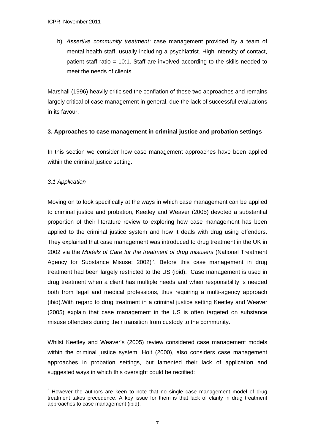b) *Assertive community treatment:* case management provided by a team of mental health staff, usually including a psychiatrist. High intensity of contact, patient staff ratio = 10:1. Staff are involved according to the skills needed to meet the needs of clients

Marshall (1996) heavily criticised the conflation of these two approaches and remains largely critical of case management in general, due the lack of successful evaluations in its favour.

# **3. Approaches to case management in criminal justice and probation settings**

In this section we consider how case management approaches have been applied within the criminal justice setting.

# *3.1 Application*

Moving on to look specifically at the ways in which case management can be applied to criminal justice and probation, Keetley and Weaver (2005) devoted a substantial proportion of their literature review to exploring how case management has been applied to the criminal justice system and how it deals with drug using offenders. They explained that case management was introduced to drug treatment in the UK in 2002 via the *Models of Care for the treatment of drug misusers* (National Treatment Agency for Substance Misuse;  $2002$ <sup>[5](#page-6-0)</sup>. Before this case management in drug treatment had been largely restricted to the US (ibid). Case management is used in drug treatment when a client has multiple needs and when responsibility is needed both from legal and medical professions, thus requiring a multi-agency approach (ibid).With regard to drug treatment in a criminal justice setting Keetley and Weaver (2005) explain that case management in the US is often targeted on substance misuse offenders during their transition from custody to the community.

Whilst Keetley and Weaver's (2005) review considered case management models within the criminal justice system, Holt (2000), also considers case management approaches in probation settings, but lamented their lack of application and suggested ways in which this oversight could be rectified:

<span id="page-6-0"></span><sup>1</sup>  $<sup>5</sup>$  However the authors are keen to note that no single case management model of drug</sup> treatment takes precedence. A key issue for them is that lack of clarity in drug treatment approaches to case management (ibid).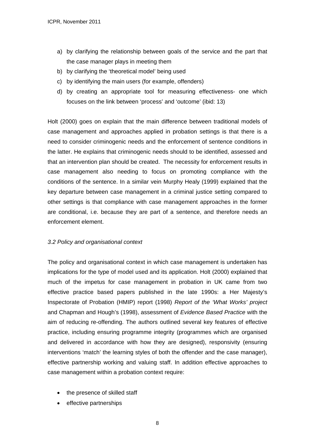- a) by clarifying the relationship between goals of the service and the part that the case manager plays in meeting them
- b) by clarifying the 'theoretical model' being used
- c) by identifying the main users (for example, offenders)
- d) by creating an appropriate tool for measuring effectiveness- one which focuses on the link between 'process' and 'outcome' (ibid: 13)

Holt (2000) goes on explain that the main difference between traditional models of case management and approaches applied in probation settings is that there is a need to consider criminogenic needs and the enforcement of sentence conditions in the latter. He explains that criminogenic needs should to be identified, assessed and that an intervention plan should be created. The necessity for enforcement results in case management also needing to focus on promoting compliance with the conditions of the sentence. In a similar vein Murphy Healy (1999) explained that the key departure between case management in a criminal justice setting compared to other settings is that compliance with case management approaches in the former are conditional, i.e. because they are part of a sentence, and therefore needs an enforcement element.

# *3.2 Policy and organisational context*

The policy and organisational context in which case management is undertaken has implications for the type of model used and its application. Holt (2000) explained that much of the impetus for case management in probation in UK came from two effective practice based papers published in the late 1990s: a Her Majesty's Inspectorate of Probation (HMIP) report (1998) *Report of the 'What Works' project* and Chapman and Hough's (1998), assessment of *Evidence Based Practice* with the aim of reducing re-offending. The authors outlined several key features of effective practice, including ensuring programme integrity (programmes which are organised and delivered in accordance with how they are designed), responsivity (ensuring interventions 'match' the learning styles of both the offender and the case manager), effective partnership working and valuing staff. In addition effective approaches to case management within a probation context require:

- the presence of skilled staff
- effective partnerships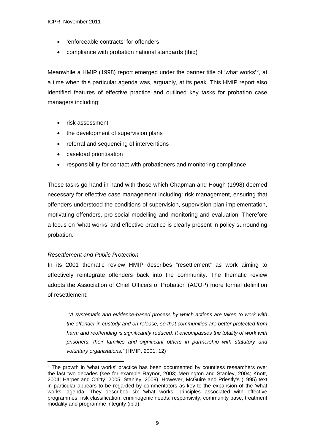- 'enforceable contracts' for offenders
- compliance with probation national standards (ibid)

Meanwhile a HMIP (1998) report emerged under the banner title of 'what works'<sup>[6](#page-8-0)</sup>, at a time when this particular agenda was, arguably, at its peak. This HMIP report also identified features of effective practice and outlined key tasks for probation case managers including:

- risk assessment
- the development of supervision plans
- referral and sequencing of interventions
- caseload prioritisation
- responsibility for contact with probationers and monitoring compliance

These tasks go hand in hand with those which Chapman and Hough (1998) deemed necessary for effective case management including: risk management, ensuring that offenders understood the conditions of supervision, supervision plan implementation, motivating offenders, pro-social modelling and monitoring and evaluation. Therefore a focus on 'what works' and effective practice is clearly present in policy surrounding probation.

# *Resettlement and Public Protection*

1

In its 2001 thematic review HMIP describes "resettlement" as work aiming to effectively reintegrate offenders back into the community. The thematic review adopts the Association of Chief Officers of Probation (ACOP) more formal definition of resettlement:

*"A systematic and evidence-based process by which actions are taken to work with the offender in custody and on release, so that communities are better protected from harm and reoffending is significantly reduced. It encompasses the totality of work with prisoners, their families and significant others in partnership with statutory and voluntary organisations."* (HMIP, 2001: 12)

<span id="page-8-0"></span> $6$  The growth in 'what works' practice has been documented by countless researchers over the last two decades (see for example Raynor, 2003; Merrington and Stanley, 2004; Knott, 2004; Harper and Chitty, 2005; Stanley, 2009). However, McGuire and Priestly's (1995) text in particular appears to be regarded by commentators as key to the expansion of the 'what works' agenda. They described six 'what works' principles associated with effective programmes: risk classification, criminogenic needs, responsivity, community base, treatment modality and programme integrity (ibid).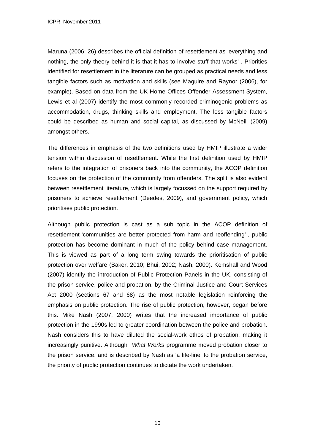Maruna (2006: 26) describes the official definition of resettlement as 'everything and nothing, the only theory behind it is that it has to involve stuff that works' . Priorities identified for resettlement in the literature can be grouped as practical needs and less tangible factors such as motivation and skills (see Maguire and Raynor (2006), for example). Based on data from the UK Home Offices Offender Assessment System, Lewis et al (2007) identify the most commonly recorded criminogenic problems as accommodation, drugs, thinking skills and employment. The less tangible factors could be described as human and social capital, as discussed by McNeill (2009) amongst others.

The differences in emphasis of the two definitions used by HMIP illustrate a wider tension within discussion of resettlement. While the first definition used by HMIP refers to the integration of prisoners back into the community, the ACOP definition focuses on the protection of the community from offenders. The split is also evident between resettlement literature, which is largely focussed on the support required by prisoners to achieve resettlement (Deedes, 2009), and government policy, which prioritises public protection.

Although public protection is cast as a sub topic in the ACOP definition of resettlement-'communities are better protected from harm and reoffending'-, public protection has become dominant in much of the policy behind case management. This is viewed as part of a long term swing towards the prioritisation of public protection over welfare (Baker, 2010; Bhui, 2002; Nash, 2000). Kemshall and Wood (2007) identify the introduction of Public Protection Panels in the UK, consisting of the prison service, police and probation, by the Criminal Justice and Court Services Act 2000 (sections 67 and 68) as the most notable legislation reinforcing the emphasis on public protection. The rise of public protection, however, began before this. Mike Nash (2007, 2000) writes that the increased importance of public protection in the 1990s led to greater coordination between the police and probation. Nash considers this to have diluted the social-work ethos of probation, making it increasingly punitive. Although *What Works* programme moved probation closer to the prison service, and is described by Nash as 'a life-line' to the probation service, the priority of public protection continues to dictate the work undertaken.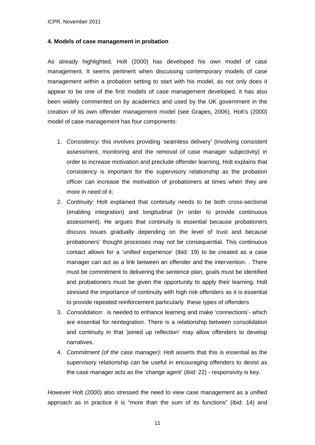#### **4. Models of case management in probation**

As already highlighted, Holt (2000) has developed his own model of case management. It seems pertinent when discussing contemporary models of case management within a probation setting to start with his model, as not only does it appear to be one of the first models of case management developed, it has also been widely commented on by academics and used by the UK government in the creation of its own offender management model (see Grapes, 2006). Holt's (2000) model of case management has four components:

- 1. *Consistency:* this involves providing 'seamless delivery' (involving consistent assessment, monitoring and the removal of case manager subjectivity) in order to increase motivation and preclude offender learning. Holt explains that consistency is important for the supervisory relationship as the probation officer can increase the motivation of probationers at times when they are more in need of it;
- 2. *Continuity:* Holt explained that continuity needs to be both cross-sectional (enabling integration) and longitudinal (in order to provide continuous assessment). He argues that continuity is essential because probationers discuss issues gradually depending on the level of trust and because probationers' thought processes may not be consequential. This continuous contact allows for a 'unified experience' (ibid: 19) to be created as a case manager can act as a link between an offender and the intervention. . There must be commitment to delivering the sentence plan, goals must be identified and probationers must be given the opportunity to apply their learning. Holt stressed the importance of continuity with high risk offenders as it is essential to provide repeated reinforcement particularly these types of offenders
- 3. *Consolidation:* is needed to enhance learning and make 'connections'- which are essential for reintegration. There is a relationship between consolidation and continuity in that 'joined up reflection' may allow offenders to develop narratives.
- 4. *Commitment (of the case manager):* Holt asserts that this is essential as the supervisory relationship can be useful in encouraging offenders to desist as the case manager acts as the 'change agent' (ibid: 22) - responsivity is key.

However Holt (2000) also stressed the need to view case management as a unified approach as in practice it is "more than the sum of its functions" (ibid: 14) and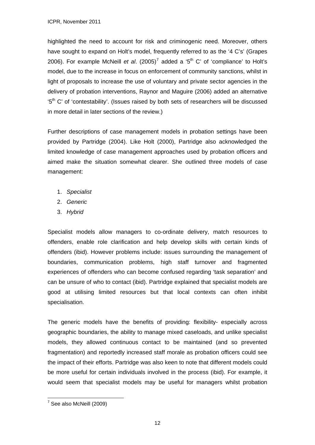highlighted the need to account for risk and criminogenic need. Moreover, others have sought to expand on Holt's model, frequently referred to as the '4 C's' (Grapes 2006). For example McNeill *et al.*  $(2005)^7$  $(2005)^7$  added a '5<sup>th</sup> C' of 'compliance' to Holt's model, due to the increase in focus on enforcement of community sanctions, whilst in light of proposals to increase the use of voluntary and private sector agencies in the delivery of probation interventions, Raynor and Maguire (2006) added an alternative '5<sup>th</sup> C' of 'contestability'. (Issues raised by both sets of researchers will be discussed in more detail in later sections of the review.)

Further descriptions of case management models in probation settings have been provided by Partridge (2004). Like Holt (2000), Partridge also acknowledged the limited knowledge of case management approaches used by probation officers and aimed make the situation somewhat clearer. She outlined three models of case management:

- 1. *Specialist*
- 2. *Generic*
- 3. *Hybrid*

Specialist models allow managers to co-ordinate delivery, match resources to offenders, enable role clarification and help develop skills with certain kinds of offenders (ibid). However problems include: issues surrounding the management of boundaries, communication problems, high staff turnover and fragmented experiences of offenders who can become confused regarding 'task separation' and can be unsure of who to contact (ibid). Partridge explained that specialist models are good at utilising limited resources but that local contexts can often inhibit specialisation.

The generic models have the benefits of providing: flexibility- especially across geographic boundaries, the ability to manage mixed caseloads, and unlike specialist models, they allowed continuous contact to be maintained (and so prevented fragmentation) and reportedly increased staff morale as probation officers could see the impact of their efforts. Partridge was also keen to note that different models could be more useful for certain individuals involved in the process (ibid). For example, it would seem that specialist models may be useful for managers whilst probation

<span id="page-11-0"></span> 7 See also McNeill (2009)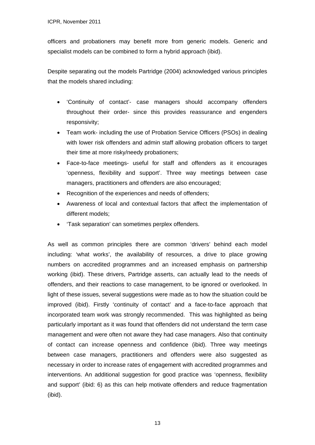officers and probationers may benefit more from generic models. Generic and specialist models can be combined to form a hybrid approach (ibid).

Despite separating out the models Partridge (2004) acknowledged various principles that the models shared including:

- 'Continuity of contact'- case managers should accompany offenders throughout their order- since this provides reassurance and engenders responsivity;
- Team work- including the use of Probation Service Officers (PSOs) in dealing with lower risk offenders and admin staff allowing probation officers to target their time at more risky/needy probationers;
- Face-to-face meetings- useful for staff and offenders as it encourages 'openness, flexibility and support'. Three way meetings between case managers, practitioners and offenders are also encouraged;
- Recognition of the experiences and needs of offenders;
- Awareness of local and contextual factors that affect the implementation of different models;
- 'Task separation' can sometimes perplex offenders.

As well as common principles there are common 'drivers' behind each model including: 'what works', the availability of resources, a drive to place growing numbers on accredited programmes and an increased emphasis on partnership working (ibid). These drivers, Partridge asserts, can actually lead to the needs of offenders, and their reactions to case management, to be ignored or overlooked. In light of these issues, several suggestions were made as to how the situation could be improved (ibid). Firstly 'continuity of contact' and a face-to-face approach that incorporated team work was strongly recommended. This was highlighted as being particularly important as it was found that offenders did not understand the term case management and were often not aware they had case managers. Also that continuity of contact can increase openness and confidence (ibid). Three way meetings between case managers, practitioners and offenders were also suggested as necessary in order to increase rates of engagement with accredited programmes and interventions. An additional suggestion for good practice was 'openness, flexibility and support' (ibid: 6) as this can help motivate offenders and reduce fragmentation (ibid).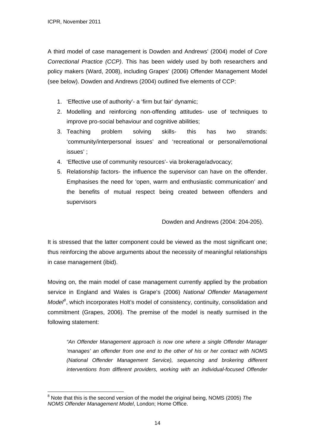A third model of case management is Dowden and Andrews' (2004) model of *Core Correctional Practice (CCP)*. This has been widely used by both researchers and policy makers (Ward, 2008), including Grapes' (2006) Offender Management Model (see below). Dowden and Andrews (2004) outlined five elements of CCP:

- 1. 'Effective use of authority'- a 'firm but fair' dynamic;
- 2. Modelling and reinforcing non-offending attitudes- use of techniques to improve pro-social behaviour and cognitive abilities;
- 3. Teaching problem solving skills- this has two strands: 'community/interpersonal issues' and 'recreational or personal/emotional issues' ;
- 4. 'Effective use of community resources'- via brokerage/advocacy;
- 5. Relationship factors- the influence the supervisor can have on the offender. Emphasises the need for 'open, warm and enthusiastic communication' and the benefits of mutual respect being created between offenders and supervisors

Dowden and Andrews (2004: 204-205).

It is stressed that the latter component could be viewed as the most significant one; thus reinforcing the above arguments about the necessity of meaningful relationships in case management (ibid).

Moving on, the main model of case management currently applied by the probation service in England and Wales is Grape's (2006) *National Offender Management*  Model<sup>[8](#page-13-0)</sup>, which incorporates Holt's model of consistency, continuity, consolidation and commitment (Grapes, 2006). The premise of the model is neatly surmised in the following statement:

*"An Offender Management approach is now one where a single Offender Manager 'manages' an offender from one end to the other of his or her contact with NOMS (National Offender Management Service), sequencing and brokering different interventions from different providers, working with an individual-focused Offender* 

<span id="page-13-0"></span><sup>&</sup>lt;u>.</u> 8 Note that this is the second version of the model the original being, NOMS (2005) *The NOMS Offender Management Model*, London; Home Office.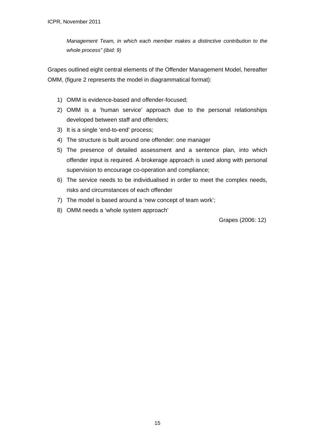*Management Team, in which each member makes a distinctive contribution to the whole process" (ibid: 9)* 

Grapes outlined eight central elements of the Offender Management Model, hereafter OMM, (figure 2 represents the model in diagrammatical format):

- 1) OMM is evidence-based and offender-focused;
- 2) OMM is a 'human service' approach due to the personal relationships developed between staff and offenders;
- 3) It is a single 'end-to-end' process;
- 4) The structure is built around one offender: one manager
- 5) The presence of detailed assessment and a sentence plan, into which offender input is required. A brokerage approach is used along with personal supervision to encourage co-operation and compliance;
- 6) The service needs to be individualised in order to meet the complex needs, risks and circumstances of each offender
- 7) The model is based around a 'new concept of team work';
- 8) OMM needs a 'whole system approach'

Grapes (2006: 12)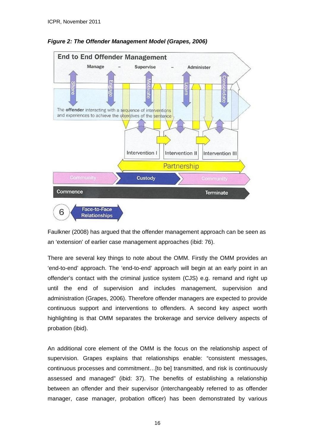

*Figure 2: The Offender Management Model (Grapes, 2006)* 

Faulkner (2008) has argued that the offender management approach can be seen as an 'extension' of earlier case management approaches (ibid: 76).

There are several key things to note about the OMM. Firstly the OMM provides an 'end-to-end' approach. The 'end-to-end' approach will begin at an early point in an offender's contact with the criminal justice system (CJS) e.g. remand and right up until the end of supervision and includes management, supervision and administration (Grapes, 2006). Therefore offender managers are expected to provide continuous support and interventions to offenders. A second key aspect worth highlighting is that OMM separates the brokerage and service delivery aspects of probation (ibid).

An additional core element of the OMM is the focus on the relationship aspect of supervision. Grapes explains that relationships enable: "consistent messages, continuous processes and commitment…[to be] transmitted, and risk is continuously assessed and managed" (ibid: 37). The benefits of establishing a relationship between an offender and their supervisor (interchangeably referred to as offender manager, case manager, probation officer) has been demonstrated by various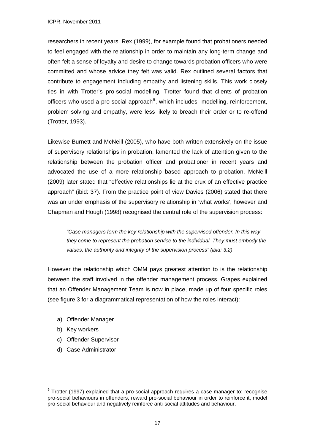researchers in recent years. Rex (1999), for example found that probationers needed to feel engaged with the relationship in order to maintain any long-term change and often felt a sense of loyalty and desire to change towards probation officers who were committed and whose advice they felt was valid. Rex outlined several factors that contribute to engagement including empathy and listening skills. This work closely ties in with Trotter's pro-social modelling. Trotter found that clients of probation officers who used a pro-social approach<sup>[9](#page-16-0)</sup>, which includes modelling, reinforcement, problem solving and empathy, were less likely to breach their order or to re-offend (Trotter, 1993).

Likewise Burnett and McNeill (2005), who have both written extensively on the issue of supervisory relationships in probation, lamented the lack of attention given to the relationship between the probation officer and probationer in recent years and advocated the use of a more relationship based approach to probation. McNeill (2009) later stated that "effective relationships lie at the crux of an effective practice approach" (ibid: 37). From the practice point of view Davies (2006) stated that there was an under emphasis of the supervisory relationship in 'what works', however and Chapman and Hough (1998) recognised the central role of the supervision process:

*"Case managers form the key relationship with the supervised offender. In this way they come to represent the probation service to the individual. They must embody the values, the authority and integrity of the supervision process" (ibid: 3.2)* 

However the relationship which OMM pays greatest attention to is the relationship between the staff involved in the offender management process. Grapes explained that an Offender Management Team is now in place, made up of four specific roles (see figure 3 for a diagrammatical representation of how the roles interact):

- a) Offender Manager
- b) Key workers
- c) Offender Supervisor
- d) Case Administrator

<span id="page-16-0"></span><sup>1</sup> <sup>9</sup> Trotter (1997) explained that a pro-social approach requires a case manager to: recognise pro-social behaviours in offenders, reward pro-social behaviour in order to reinforce it, model pro-social behaviour and negatively reinforce anti-social attitudes and behaviour.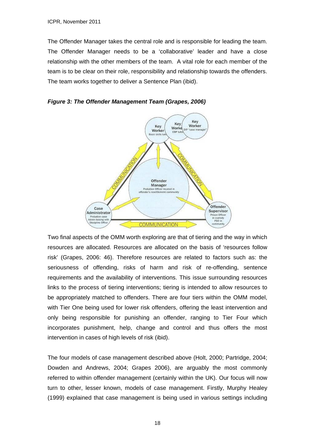The Offender Manager takes the central role and is responsible for leading the team. The Offender Manager needs to be a 'collaborative' leader and have a close relationship with the other members of the team. A vital role for each member of the team is to be clear on their role, responsibility and relationship towards the offenders. The team works together to deliver a Sentence Plan (ibid).





Two final aspects of the OMM worth exploring are that of tiering and the way in which resources are allocated. Resources are allocated on the basis of 'resources follow risk' (Grapes, 2006: 46). Therefore resources are related to factors such as: the seriousness of offending, risks of harm and risk of re-offending, sentence requirements and the availability of interventions. This issue surrounding resources links to the process of tiering interventions; tiering is intended to allow resources to be appropriately matched to offenders. There are four tiers within the OMM model, with Tier One being used for lower risk offenders, offering the least intervention and only being responsible for punishing an offender, ranging to Tier Four which incorporates punishment, help, change and control and thus offers the most intervention in cases of high levels of risk (ibid).

The four models of case management described above (Holt, 2000; Partridge, 2004; Dowden and Andrews, 2004; Grapes 2006), are arguably the most commonly referred to within offender management (certainly within the UK). Our focus will now turn to other, lesser known, models of case management. Firstly, Murphy Healey (1999) explained that case management is being used in various settings including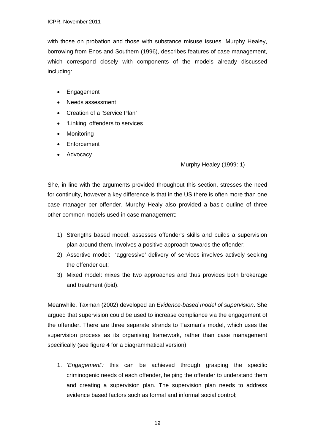with those on probation and those with substance misuse issues. Murphy Healey, borrowing from Enos and Southern (1996), describes features of case management, which correspond closely with components of the models already discussed including:

- Engagement
- Needs assessment
- Creation of a 'Service Plan'
- 'Linking' offenders to services
- Monitoring
- **Enforcement**
- Advocacy

# Murphy Healey (1999: 1)

She, in line with the arguments provided throughout this section, stresses the need for continuity, however a key difference is that in the US there is often more than one case manager per offender. Murphy Healy also provided a basic outline of three other common models used in case management:

- 1) Strengths based model: assesses offender's skills and builds a supervision plan around them. Involves a positive approach towards the offender;
- 2) Assertive model: 'aggressive' delivery of services involves actively seeking the offender out;
- 3) Mixed model: mixes the two approaches and thus provides both brokerage and treatment (ibid).

Meanwhile, Taxman (2002) developed an *Evidence-based model of supervision*. She argued that supervision could be used to increase compliance via the engagement of the offender. There are three separate strands to Taxman's model, which uses the supervision process as its organising framework, rather than case management specifically (see figure 4 for a diagrammatical version):

1. *'Engagement':* this can be achieved through grasping the specific criminogenic needs of each offender, helping the offender to understand them and creating a supervision plan. The supervision plan needs to address evidence based factors such as formal and informal social control;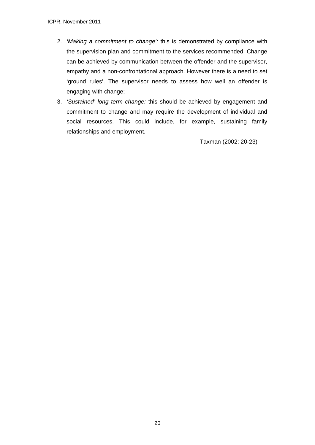- 2. *'Making a commitment to change':* this is demonstrated by compliance with the supervision plan and commitment to the services recommended. Change can be achieved by communication between the offender and the supervisor, empathy and a non-confrontational approach. However there is a need to set 'ground rules'. The supervisor needs to assess how well an offender is engaging with change;
- 3. *'Sustained' long term change:* this should be achieved by engagement and commitment to change and may require the development of individual and social resources. This could include, for example, sustaining family relationships and employment.

Taxman (2002: 20-23)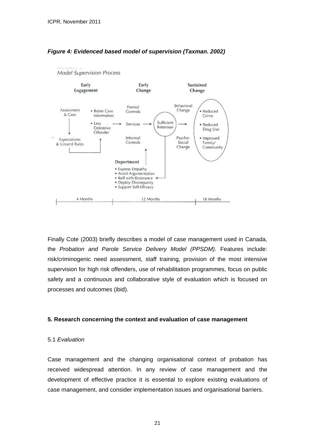

# *Figure 4: Evidenced based model of supervision (Taxman. 2002)*

Finally Cote (2003) briefly describes a model of case management used in Canada, the *Probation and Parole Service Delivery Model (PPSDM).* Features include: risk/criminogenic need assessment, staff training, provision of the most intensive supervision for high risk offenders, use of rehabilitation programmes, focus on public safety and a continuous and collaborative style of evaluation which is focused on processes and outcomes (ibid).

# **5. Research concerning the context and evaluation of case management**

#### 5.1 *Evaluation*

Case management and the changing organisational context of probation has received widespread attention. In any review of case management and the development of effective practice it is essential to explore existing evaluations of case management, and consider implementation issues and organisational barriers.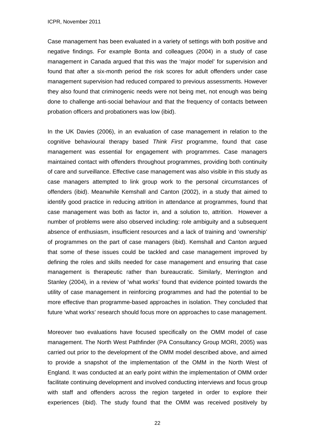Case management has been evaluated in a variety of settings with both positive and negative findings. For example Bonta and colleagues (2004) in a study of case management in Canada argued that this was the 'major model' for supervision and found that after a six-month period the risk scores for adult offenders under case management supervision had reduced compared to previous assessments. However they also found that criminogenic needs were not being met, not enough was being done to challenge anti-social behaviour and that the frequency of contacts between probation officers and probationers was low (ibid).

In the UK Davies (2006), in an evaluation of case management in relation to the cognitive behavioural therapy based *Think First* programme, found that case management was essential for engagement with programmes. Case managers maintained contact with offenders throughout programmes, providing both continuity of care and surveillance. Effective case management was also visible in this study as case managers attempted to link group work to the personal circumstances of offenders (ibid). Meanwhile Kemshall and Canton (2002), in a study that aimed to identify good practice in reducing attrition in attendance at programmes, found that case management was both as factor in, and a solution to, attrition. However a number of problems were also observed including: role ambiguity and a subsequent absence of enthusiasm, insufficient resources and a lack of training and 'ownership' of programmes on the part of case managers (ibid). Kemshall and Canton argued that some of these issues could be tackled and case management improved by defining the roles and skills needed for case management and ensuring that case management is therapeutic rather than bureaucratic. Similarly, Merrington and Stanley (2004), in a review of 'what works' found that evidence pointed towards the utility of case management in reinforcing programmes and had the potential to be more effective than programme-based approaches in isolation. They concluded that future 'what works' research should focus more on approaches to case management.

Moreover two evaluations have focused specifically on the OMM model of case management. The North West Pathfinder (PA Consultancy Group MORI, 2005) was carried out prior to the development of the OMM model described above, and aimed to provide a snapshot of the implementation of the OMM in the North West of England. It was conducted at an early point within the implementation of OMM order facilitate continuing development and involved conducting interviews and focus group with staff and offenders across the region targeted in order to explore their experiences (ibid). The study found that the OMM was received positively by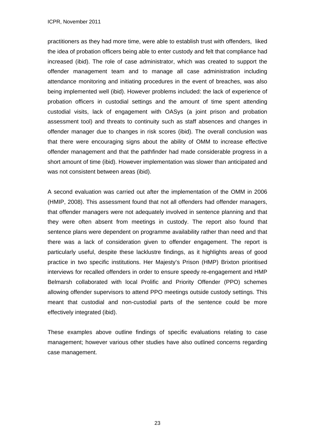practitioners as they had more time, were able to establish trust with offenders, liked the idea of probation officers being able to enter custody and felt that compliance had increased (ibid). The role of case administrator, which was created to support the offender management team and to manage all case administration including attendance monitoring and initiating procedures in the event of breaches, was also being implemented well (ibid). However problems included: the lack of experience of probation officers in custodial settings and the amount of time spent attending custodial visits, lack of engagement with OASys (a joint prison and probation assessment tool) and threats to continuity such as staff absences and changes in offender manager due to changes in risk scores (ibid). The overall conclusion was that there were encouraging signs about the ability of OMM to increase effective offender management and that the pathfinder had made considerable progress in a short amount of time (ibid). However implementation was slower than anticipated and was not consistent between areas (ibid).

A second evaluation was carried out after the implementation of the OMM in 2006 (HMIP, 2008). This assessment found that not all offenders had offender managers, that offender managers were not adequately involved in sentence planning and that they were often absent from meetings in custody. The report also found that sentence plans were dependent on programme availability rather than need and that there was a lack of consideration given to offender engagement. The report is particularly useful, despite these lacklustre findings, as it highlights areas of good practice in two specific institutions. Her Majesty's Prison (HMP) Brixton prioritised interviews for recalled offenders in order to ensure speedy re-engagement and HMP Belmarsh collaborated with local Prolific and Priority Offender (PPO) schemes allowing offender supervisors to attend PPO meetings outside custody settings. This meant that custodial and non-custodial parts of the sentence could be more effectively integrated (ibid).

These examples above outline findings of specific evaluations relating to case management; however various other studies have also outlined concerns regarding case management.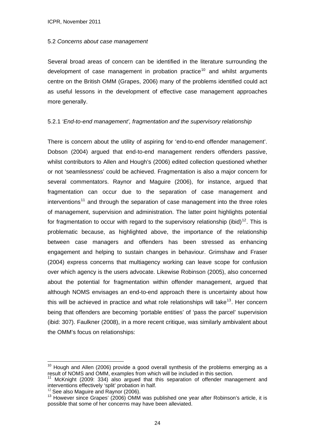#### 5.2 *Concerns about case management*

Several broad areas of concern can be identified in the literature surrounding the development of case management in probation practice<sup>[10](#page-23-0)</sup> and whilst arguments centre on the British OMM (Grapes, 2006) many of the problems identified could act as useful lessons in the development of effective case management approaches more generally.

# 5.2.1 *'End-to-end management', fragmentation and the supervisory relationship*

There is concern about the utility of aspiring for 'end-to-end offender management'. Dobson (2004) argued that end-to-end management renders offenders passive, whilst contributors to Allen and Hough's (2006) edited collection questioned whether or not 'seamlessness' could be achieved. Fragmentation is also a major concern for several commentators. Raynor and Maguire (2006), for instance, argued that fragmentation can occur due to the separation of case management and  $interventions<sup>11</sup>$  $interventions<sup>11</sup>$  $interventions<sup>11</sup>$  and through the separation of case management into the three roles of management, supervision and administration. The latter point highlights potential for fragmentation to occur with regard to the supervisory relationship (ibid)<sup>[12](#page-23-2)</sup>. This is problematic because, as highlighted above, the importance of the relationship between case managers and offenders has been stressed as enhancing engagement and helping to sustain changes in behaviour. Grimshaw and Fraser (2004) express concerns that multiagency working can leave scope for confusion over which agency is the users advocate. Likewise Robinson (2005), also concerned about the potential for fragmentation within offender management, argued that although NOMS envisages an end-to-end approach there is uncertainty about how this will be achieved in practice and what role relationships will take<sup>[13](#page-23-3)</sup>. Her concern being that offenders are becoming 'portable entities' of 'pass the parcel' supervision (ibid: 307). Faulkner (2008), in a more recent critique, was similarly ambivalent about the OMM's focus on relationships:

<span id="page-23-0"></span> $10$  Hough and Allen (2006) provide a good overall synthesis of the problems emerging as a result of NOMS and OMM, examples from which will be included in this section.

<span id="page-23-1"></span> $11$  McKnight (2009: 334) also argued that this separation of offender management and interventions effectively 'split' probation in half.<br><sup>12</sup> See also Maguire and Raynor (2006).

<span id="page-23-3"></span><span id="page-23-2"></span><sup>&</sup>lt;sup>13</sup> However since Grapes' (2006) OMM was published one year after Robinson's article, it is possible that some of her concerns may have been alleviated.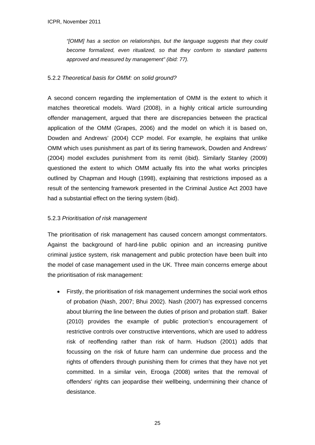*"[OMM] has a section on relationships, but the language suggests that they could become formalized, even ritualized, so that they conform to standard patterns approved and measured by management" (ibid: 77).* 

# 5.2.2 *Theoretical basis for OMM: on solid ground?*

A second concern regarding the implementation of OMM is the extent to which it matches theoretical models. Ward (2008), in a highly critical article surrounding offender management, argued that there are discrepancies between the practical application of the OMM (Grapes, 2006) and the model on which it is based on, Dowden and Andrews' (2004) CCP model. For example, he explains that unlike OMM which uses punishment as part of its tiering framework, Dowden and Andrews' (2004) model excludes punishment from its remit (ibid). Similarly Stanley (2009) questioned the extent to which OMM actually fits into the what works principles outlined by Chapman and Hough (1998), explaining that restrictions imposed as a result of the sentencing framework presented in the Criminal Justice Act 2003 have had a substantial effect on the tiering system (ibid).

# 5.2.3 *Prioritisation of risk management*

The prioritisation of risk management has caused concern amongst commentators. Against the background of hard-line public opinion and an increasing punitive criminal justice system, risk management and public protection have been built into the model of case management used in the UK. Three main concerns emerge about the prioritisation of risk management:

 Firstly, the prioritisation of risk management undermines the social work ethos of probation (Nash, 2007; Bhui 2002). Nash (2007) has expressed concerns about blurring the line between the duties of prison and probation staff. Baker (2010) provides the example of public protection's encouragement of restrictive controls over constructive interventions, which are used to address risk of reoffending rather than risk of harm. Hudson (2001) adds that focussing on the risk of future harm can undermine due process and the rights of offenders through punishing them for crimes that they have not yet committed. In a similar vein, Erooga (2008) writes that the removal of offenders' rights can jeopardise their wellbeing, undermining their chance of desistance.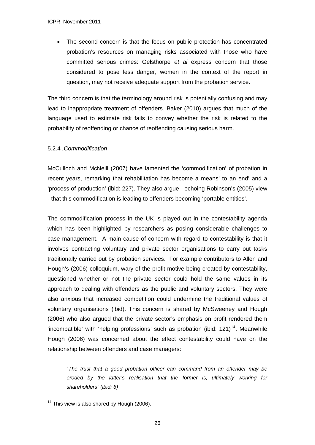The second concern is that the focus on public protection has concentrated probation's resources on managing risks associated with those who have committed serious crimes: Gelsthorpe *et al* express concern that those considered to pose less danger, women in the context of the report in question, may not receive adequate support from the probation service.

The third concern is that the terminology around risk is potentially confusing and may lead to inappropriate treatment of offenders. Baker (2010) argues that much of the language used to estimate risk fails to convey whether the risk is related to the probability of reoffending or chance of reoffending causing serious harm.

# 5.2.4 *.Commodification*

McCulloch and McNeill (2007) have lamented the 'commodification' of probation in recent years, remarking that rehabilitation has become a means' to an end' and a 'process of production' (ibid: 227). They also argue - echoing Robinson's (2005) view - that this commodification is leading to offenders becoming 'portable entities'.

The commodification process in the UK is played out in the contestability agenda which has been highlighted by researchers as posing considerable challenges to case management. A main cause of concern with regard to contestability is that it involves contracting voluntary and private sector organisations to carry out tasks traditionally carried out by probation services. For example contributors to Allen and Hough's (2006) colloquium, wary of the profit motive being created by contestability, questioned whether or not the private sector could hold the same values in its approach to dealing with offenders as the public and voluntary sectors. They were also anxious that increased competition could undermine the traditional values of voluntary organisations (ibid). This concern is shared by McSweeney and Hough (2006) who also argued that the private sector's emphasis on profit rendered them 'incompatible' with 'helping professions' such as probation (ibid:  $121$ )<sup>[14](#page-25-0)</sup>. Meanwhile Hough (2006) was concerned about the effect contestability could have on the relationship between offenders and case managers:

*"The trust that a good probation officer can command from an offender may be eroded by the latter's realisation that the former is, ultimately working for shareholders" (ibid: 6)* 

<span id="page-25-0"></span><sup>1</sup>  $14$  This view is also shared by Hough (2006).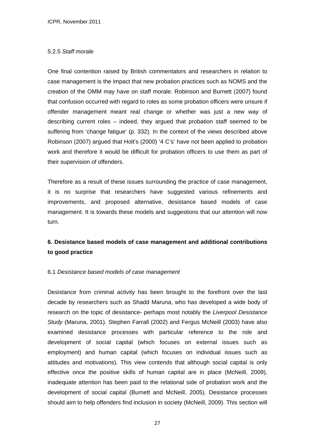# 5.2.5 *Staff morale*

One final contention raised by British commentators and researchers in relation to case management is the impact that new probation practices such as NOMS and the creation of the OMM may have on staff morale. Robinson and Burnett (2007) found that confusion occurred with regard to roles as some probation officers were unsure if offender management meant real change or whether was just a new way of describing current roles – indeed, they argued that probation staff seemed to be suffering from 'change fatigue' (p. 332). In the context of the views described above Robinson (2007) argued that Holt's (2000) '4 C's' have not been applied to probation work and therefore it would be difficult for probation officers to use them as part of their supervision of offenders.

Therefore as a result of these issues surrounding the practice of case management, it is no surprise that researchers have suggested various refinements and improvements, and proposed alternative, desistance based models of case management. It is towards these models and suggestions that our attention will now turn.

# **6. Desistance based models of case management and additional contributions to good practice**

# 6.1 *Desistance based models of case management*

Desistance from criminal activity has been brought to the forefront over the last decade by researchers such as Shadd Maruna, who has developed a wide body of research on the topic of desistance- perhaps most notably the *Liverpool Desistance Study* (Maruna, 2001). Stephen Farrall (2002) and Fergus McNeill (2003) have also examined desistance processes with particular reference to the role and development of social capital (which focuses on external issues such as employment) and human capital (which focuses on individual issues such as attitudes and motivations). This view contends that although social capital is only effective once the positive skills of human capital are in place (McNeill, 2009), inadequate attention has been paid to the relational side of probation work and the development of social capital (Burnett and McNeill, 2005). Desistance processes should aim to help offenders find inclusion in society (McNeill, 2009). This section will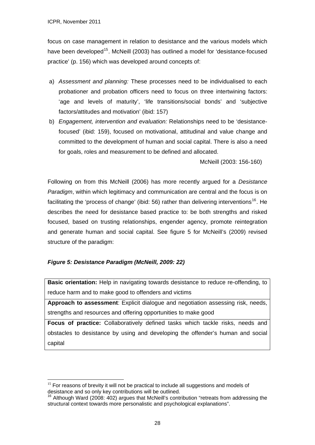focus on case management in relation to desistance and the various models which have been developed<sup>[15](#page-27-0)</sup>. McNeill (2003) has outlined a model for 'desistance-focused practice' (p. 156) which was developed around concepts of:

- a) *Assessment and planning:* These processes need to be individualised to each probationer and probation officers need to focus on three intertwining factors: 'age and levels of maturity', 'life transitions/social bonds' and 'subjective factors/attitudes and motivation' (ibid: 157)
- b) *Engagement, intervention and evaluation:* Relationships need to be 'desistancefocused' (ibid: 159), focused on motivational, attitudinal and value change and committed to the development of human and social capital. There is also a need for goals, roles and measurement to be defined and allocated.

McNeill (2003: 156-160)

Following on from this McNeill (2006) has more recently argued for a *Desistance Paradigm*, within which legitimacy and communication are central and the focus is on facilitating the 'process of change' (ibid: 56) rather than delivering interventions<sup>[16](#page-27-1)</sup>. He describes the need for desistance based practice to: be both strengths and risked focused, based on trusting relationships, engender agency, promote reintegration and generate human and social capital. See figure 5 for McNeill's (2009) revised structure of the paradigm:

# *Figure 5: Desistance Paradigm (McNeill, 2009: 22)*

1

**Basic orientation:** Help in navigating towards desistance to reduce re-offending, to reduce harm and to make good to offenders and victims

**Approach to assessment**: Explicit dialogue and negotiation assessing risk, needs, strengths and resources and offering opportunities to make good

**Focus of practice:** Collaboratively defined tasks which tackle risks, needs and obstacles to desistance by using and developing the offender's human and social capital

<span id="page-27-0"></span> $15$  For reasons of brevity it will not be practical to include all suggestions and models of desistance and so only key contributions will be outlined.

<span id="page-27-1"></span> $16$  Although Ward (2008: 402) argues that McNeill's contribution "retreats from addressing the structural context towards more personalistic and psychological explanations".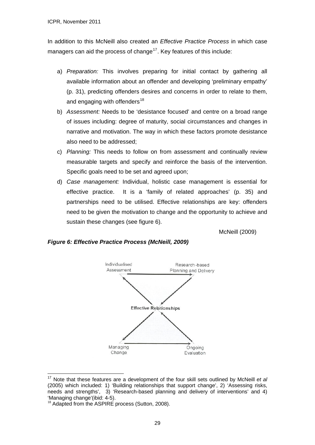In addition to this McNeill also created an *Effective Practice Process* in which case managers can aid the process of change<sup>[17](#page-28-0)</sup>. Key features of this include:

- a) *Preparation:* This involves preparing for initial contact by gathering all available information about an offender and developing 'preliminary empathy' (p. 31), predicting offenders desires and concerns in order to relate to them, and engaging with offenders $18$
- b) *Assessment:* Needs to be 'desistance focused' and centre on a broad range of issues including: degree of maturity, social circumstances and changes in narrative and motivation. The way in which these factors promote desistance also need to be addressed;
- c) *Planning:* This needs to follow on from assessment and continually review measurable targets and specify and reinforce the basis of the intervention. Specific goals need to be set and agreed upon;
- d) *Case management:* Individual, holistic case management is essential for effective practice. It is a 'family of related approaches' (p. 35) and partnerships need to be utilised. Effective relationships are key: offenders need to be given the motivation to change and the opportunity to achieve and sustain these changes (see figure 6).

McNeill (2009)

# *Figure 6: Effective Practice Process (McNeill, 2009)*



<span id="page-28-0"></span><sup>17</sup> Note that these features are a development of the four skill sets outlined by McNeill *et al* (2005) which included: 1) 'Building relationships that support change', 2) 'Assessing risks, needs and strengths', 3) 'Research-based planning and delivery of interventions' and 4) 'Managing change'(ibid: 4-5).

<u>.</u>

<span id="page-28-1"></span><sup>&</sup>lt;sup>18</sup> Adapted from the ASPIRE process (Sutton, 2008).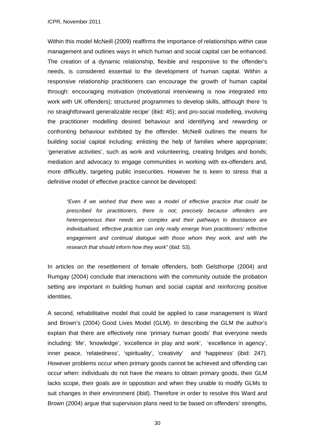Within this model McNeill (2009) reaffirms the importance of relationships within case management and outlines ways in which human and social capital can be enhanced. The creation of a dynamic relationship, flexible and responsive to the offender's needs, is considered essential to the development of human capital. Within a responsive relationship practitioners can encourage the growth of human capital through: encouraging motivation (motivational interviewing is now integrated into work with UK offenders); structured programmes to develop skills, although there 'is no straightforward generalizable recipe' (ibid: 45); and pro-social modelling, involving the practitioner modelling desired behaviour and identifying and rewarding or confronting behaviour exhibited by the offender. McNeill outlines the means for building social capital including: enlisting the help of families where appropriate; 'generative activities', such as work and volunteering, creating bridges and bonds; mediation and advocacy to engage communities in working with ex-offenders and, more difficultly, targeting public insecurities. However he is keen to stress that a definitive model of effective practice cannot be developed:

*"Even if we wished that there was a model of effective practice that could be prescribed for practitioners, there is not; precisely because offenders are heterogeneous their needs are complex and their pathways to desistance are individualised, effective practice can only really emerge from practitioners' reflective engagement and continual dialogue with those whom they work, and with the research that should inform how they work"* (ibid: 53).

In articles on the resettlement of female offenders, both Gelsthorpe (2004) and Rumgay (2004) conclude that interactions with the community outside the probation setting are important in building human and social capital and reinforcing positive identities.

A second, rehabilitative model that could be applied to case management is Ward and Brown's (2004) Good Lives Model (GLM). In describing the GLM the author's explain that there are effectively nine 'primary human goods' that everyone needs including: 'life', 'knowledge', 'excellence in play and work', 'excellence in agency', inner peace, 'relatedness', 'spirituality', 'creativity' and 'happiness' (ibid: 247). However problems occur when primary goods cannot be achieved and offending can occur when: individuals do not have the means to obtain primary goods, their GLM lacks scope, their goals are in opposition and when they unable to modify GLMs to suit changes in their environment (ibid). Therefore in order to resolve this Ward and Brown (2004) argue that supervision plans need to be based on offenders' strengths,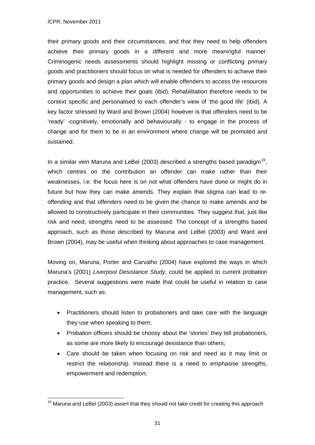1

their primary goods and their circumstances, and that they need to help offenders achieve their primary goods in a different and more meaningful manner. Criminogenic needs assessments should highlight missing or conflicting primary goods and practitioners should focus on what is needed for offenders to achieve their primary goods and design a plan which will enable offenders to access the resources and opportunities to achieve their goals (ibid). Rehabilitation therefore needs to be context specific and personalised to each offender's view of 'the good life' (ibid). A key factor stressed by Ward and Brown (2004) however is that offenders need to be 'ready' -cognitively, emotionally and behaviourally - to engage in the process of change and for them to be in an environment where change will be promoted and sustained.

In a similar vein Maruna and LeBel (2003) described a strengths based paradigm<sup>[19](#page-30-0)</sup>. which centres on the contribution an offender can make rather than their weaknesses, i.e. the focus here is on not what offenders have done or might do in future but how they can make amends. They explain that stigma can lead to reoffending and that offenders need to be given the chance to make amends and be allowed to constructively participate in their communities. They suggest that, just like risk and need, strengths need to be assessed. The concept of a strengths based approach, such as those described by Maruna and LeBel (2003) and Ward and Brown (2004), may be useful when thinking about approaches to case management.

Moving on, Maruna, Porter and Carvalho (2004) have explored the ways in which Maruna's (2001) *Liverpool Desistance Study*, could be applied to current probation practice. Several suggestions were made that could be useful in relation to case management, such as:

- Practitioners should listen to probationers and take care with the language they use when speaking to them;
- Probation officers should be choosy about the 'stories' they tell probationers, as some are more likely to encourage desistance than others;
- Care should be taken when focusing on risk and need as it may limit or restrict the relationship. Instead there is a need to emphasise strengths, empowerment and redemption;

<span id="page-30-0"></span> $19$  Maruna and LeBel (2003) assert that they should not take credit for creating this approach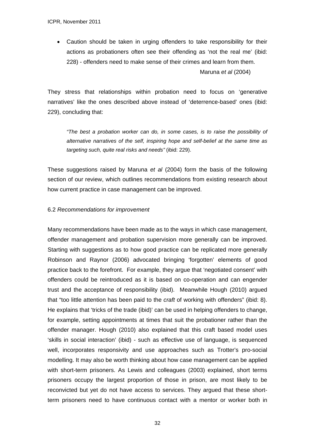Caution should be taken in urging offenders to take responsibility for their actions as probationers often see their offending as 'not the real me' (ibid: 228) - offenders need to make sense of their crimes and learn from them.

Maruna *et al* (2004)

They stress that relationships within probation need to focus on 'generative narratives' like the ones described above instead of 'deterrence-based' ones (ibid: 229), concluding that:

*"The best a probation worker can do, in some cases, is to raise the possibility of alternative narratives of the self, inspiring hope and self-belief at the same time as targeting such, quite real risks and needs"* (ibid: 229).

These suggestions raised by Maruna *et al* (2004) form the basis of the following section of our review, which outlines recommendations from existing research about how current practice in case management can be improved.

#### 6.2 *Recommendations for improvement*

Many recommendations have been made as to the ways in which case management, offender management and probation supervision more generally can be improved. Starting with suggestions as to how good practice can be replicated more generally Robinson and Raynor (2006) advocated bringing 'forgotten' elements of good practice back to the forefront. For example, they argue that 'negotiated consent' with offenders could be reintroduced as it is based on co-operation and can engender trust and the acceptance of responsibility (ibid). Meanwhile Hough (2010) argued that "too little attention has been paid to the *craft* of working with offenders" (ibid: 8). He explains that 'tricks of the trade (ibid)' can be used in helping offenders to change, for example, setting appointments at times that suit the probationer rather than the offender manager. Hough (2010) also explained that this craft based model uses 'skills in social interaction' (ibid) - such as effective use of language, is sequenced well, incorporates responsivity and use approaches such as Trotter's pro-social modelling. It may also be worth thinking about how case management can be applied with short-term prisoners. As Lewis and colleagues (2003) explained, short terms prisoners occupy the largest proportion of those in prison, are most likely to be reconvicted but yet do not have access to services. They argued that these shortterm prisoners need to have continuous contact with a mentor or worker both in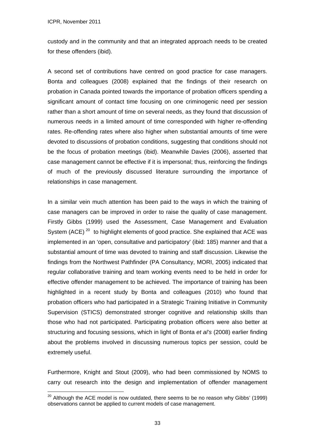<u>.</u>

custody and in the community and that an integrated approach needs to be created for these offenders (ibid).

A second set of contributions have centred on good practice for case managers. Bonta and colleagues (2008) explained that the findings of their research on probation in Canada pointed towards the importance of probation officers spending a significant amount of contact time focusing on one criminogenic need per session rather than a short amount of time on several needs, as they found that discussion of numerous needs in a limited amount of time corresponded with higher re-offending rates. Re-offending rates where also higher when substantial amounts of time were devoted to discussions of probation conditions, suggesting that conditions should not be the focus of probation meetings (ibid). Meanwhile Davies (2006), asserted that case management cannot be effective if it is impersonal; thus, reinforcing the findings of much of the previously discussed literature surrounding the importance of relationships in case management.

In a similar vein much attention has been paid to the ways in which the training of case managers can be improved in order to raise the quality of case management. Firstly Gibbs (1999) used the Assessment, Case Management and Evaluation System (ACE)<sup>[20](#page-32-0)</sup> to highlight elements of good practice. She explained that ACE was implemented in an 'open, consultative and participatory' (ibid: 185) manner and that a substantial amount of time was devoted to training and staff discussion. Likewise the findings from the Northwest Pathfinder (PA Consultancy, MORI, 2005) indicated that regular collaborative training and team working events need to be held in order for effective offender management to be achieved. The importance of training has been highlighted in a recent study by Bonta and colleagues (2010) who found that probation officers who had participated in a Strategic Training Initiative in Community Supervision (STICS) demonstrated stronger cognitive and relationship skills than those who had not participated. Participating probation officers were also better at structuring and focusing sessions, which in light of Bonta *et al's* (2008) earlier finding about the problems involved in discussing numerous topics per session, could be extremely useful.

Furthermore, Knight and Stout (2009), who had been commissioned by NOMS to carry out research into the design and implementation of offender management

<span id="page-32-0"></span> $20$  Although the ACE model is now outdated, there seems to be no reason why Gibbs' (1999) observations cannot be applied to current models of case management.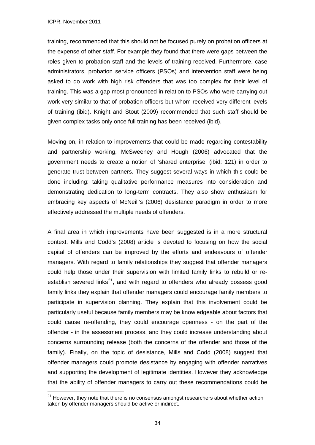training, recommended that this should not be focused purely on probation officers at the expense of other staff. For example they found that there were gaps between the roles given to probation staff and the levels of training received. Furthermore, case administrators, probation service officers (PSOs) and intervention staff were being asked to do work with high risk offenders that was too complex for their level of training. This was a gap most pronounced in relation to PSOs who were carrying out work very similar to that of probation officers but whom received very different levels of training (ibid). Knight and Stout (2009) recommended that such staff should be given complex tasks only once full training has been received (ibid).

Moving on, in relation to improvements that could be made regarding contestability and partnership working, McSweeney and Hough (2006) advocated that the government needs to create a notion of 'shared enterprise' (ibid: 121) in order to generate trust between partners. They suggest several ways in which this could be done including: taking qualitative performance measures into consideration and demonstrating dedication to long-term contracts. They also show enthusiasm for embracing key aspects of McNeill's (2006) desistance paradigm in order to more effectively addressed the multiple needs of offenders.

A final area in which improvements have been suggested is in a more structural context. Mills and Codd's (2008) article is devoted to focusing on how the social capital of offenders can be improved by the efforts and endeavours of offender managers. With regard to family relationships they suggest that offender managers could help those under their supervision with limited family links to rebuild or re-establish severed links<sup>[21](#page-33-0)</sup>, and with regard to offenders who already possess good family links they explain that offender managers could encourage family members to participate in supervision planning. They explain that this involvement could be particularly useful because family members may be knowledgeable about factors that could cause re-offending, they could encourage openness - on the part of the offender - in the assessment process, and they could increase understanding about concerns surrounding release (both the concerns of the offender and those of the family). Finally, on the topic of desistance, Mills and Codd (2008) suggest that offender managers could promote desistance by engaging with offender narratives and supporting the development of legitimate identities. However they acknowledge that the ability of offender managers to carry out these recommendations could be

<span id="page-33-0"></span><sup>&</sup>lt;u>.</u>  $21$  However, they note that there is no consensus amongst researchers about whether action taken by offender managers should be active or indirect.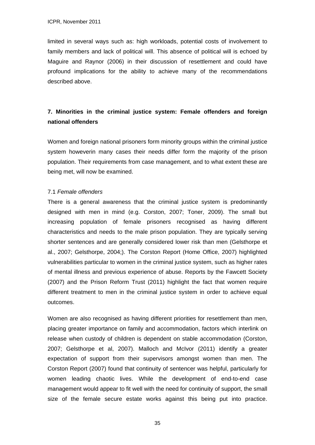limited in several ways such as: high workloads, potential costs of involvement to family members and lack of political will. This absence of political will is echoed by Maguire and Raynor (2006) in their discussion of resettlement and could have profound implications for the ability to achieve many of the recommendations described above.

# **7. Minorities in the criminal justice system: Female offenders and foreign national offenders**

Women and foreign national prisoners form minority groups within the criminal justice system howeverin many cases their needs differ form the majority of the prison population. Their requirements from case management, and to what extent these are being met, will now be examined.

#### 7.1 *Female offenders*

There is a general awareness that the criminal justice system is predominantly designed with men in mind (e.g. Corston, 2007; Toner, 2009). The small but increasing population of female prisoners recognised as having different characteristics and needs to the male prison population. They are typically serving shorter sentences and are generally considered lower risk than men (Gelsthorpe et al., 2007; Gelsthorpe, 2004;). The Corston Report (Home Office, 2007) highlighted vulnerabilities particular to women in the criminal justice system, such as higher rates of mental illness and previous experience of abuse. Reports by the Fawcett Society (2007) and the Prison Reform Trust (2011) highlight the fact that women require different treatment to men in the criminal justice system in order to achieve equal outcomes.

Women are also recognised as having different priorities for resettlement than men, placing greater importance on family and accommodation, factors which interlink on release when custody of children is dependent on stable accommodation (Corston, 2007; Gelsthorpe et al, 2007). Malloch and McIvor (2011) identify a greater expectation of support from their supervisors amongst women than men. The Corston Report (2007) found that continuity of sentencer was helpful, particularly for women leading chaotic lives. While the development of end-to-end case management would appear to fit well with the need for continuity of support, the small size of the female secure estate works against this being put into practice.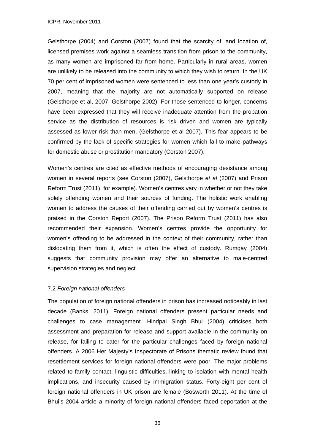Gelsthorpe (2004) and Corston (2007) found that the scarcity of, and location of, licensed premises work against a seamless transition from prison to the community, as many women are imprisoned far from home. Particularly in rural areas, women are unlikely to be released into the community to which they wish to return. In the UK 70 per cent of imprisoned women were sentenced to less than one year's custody in 2007, meaning that the majority are not automatically supported on release (Gelsthorpe et al, 2007; Gelsthorpe 2002). For those sentenced to longer, concerns have been expressed that they will receive inadequate attention from the probation service as the distribution of resources is risk driven and women are typically assessed as lower risk than men, (Gelsthorpe et al 2007). This fear appears to be confirmed by the lack of specific strategies for women which fail to make pathways for domestic abuse or prostitution mandatory (Corston 2007).

Women's centres are cited as effective methods of encouraging desistance among women in several reports (see Corston (2007), Gelsthorpe *et al* (2007) and Prison Reform Trust (2011), for example). Women's centres vary in whether or not they take solely offending women and their sources of funding. The holistic work enabling women to address the causes of their offending carried out by women's centres is praised in the Corston Report (2007). The Prison Reform Trust (2011) has also recommended their expansion. Women's centres provide the opportunity for women's offending to be addressed in the context of their community, rather than dislocating them from it, which is often the effect of custody. Rumgay (2004) suggests that community provision may offer an alternative to male-centred supervision strategies and neglect.

# 7.2 *Foreign national offenders*

The population of foreign national offenders in prison has increased noticeably in last decade (Banks, 2011). Foreign national offenders present particular needs and challenges to case management. Hindpal Singh Bhui (2004) criticises both assessment and preparation for release and support available in the community on release, for failing to cater for the particular challenges faced by foreign national offenders. A 2006 Her Majesty's Inspectorate of Prisons thematic review found that resettlement services for foreign national offenders were poor. The major problems related to family contact, linguistic difficulties, linking to isolation with mental health implications, and insecurity caused by immigration status. Forty-eight per cent of foreign national offenders in UK prison are female (Bosworth 2011). At the time of Bhui's 2004 article a minority of foreign national offenders faced deportation at the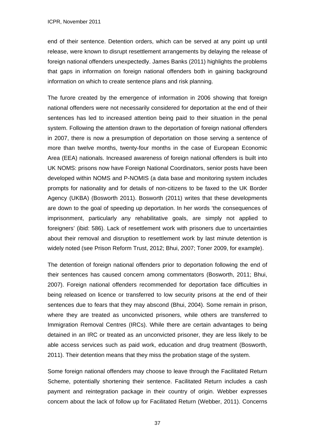end of their sentence. Detention orders, which can be served at any point up until release, were known to disrupt resettlement arrangements by delaying the release of foreign national offenders unexpectedly. James Banks (2011) highlights the problems that gaps in information on foreign national offenders both in gaining background information on which to create sentence plans and risk planning.

The furore created by the emergence of information in 2006 showing that foreign national offenders were not necessarily considered for deportation at the end of their sentences has led to increased attention being paid to their situation in the penal system. Following the attention drawn to the deportation of foreign national offenders in 2007, there is now a presumption of deportation on those serving a sentence of more than twelve months, twenty-four months in the case of European Economic Area (EEA) nationals. Increased awareness of foreign national offenders is built into UK NOMS: prisons now have Foreign National Coordinators, senior posts have been developed within NOMS and P-NOMIS (a data base and monitoring system includes prompts for nationality and for details of non-citizens to be faxed to the UK Border Agency (UKBA) (Bosworth 2011). Bosworth (2011) writes that these developments are down to the goal of speeding up deportation. In her words 'the consequences of imprisonment, particularly any rehabilitative goals, are simply not applied to foreigners' (ibid: 586). Lack of resettlement work with prisoners due to uncertainties about their removal and disruption to resettlement work by last minute detention is widely noted (see Prison Reform Trust, 2012; Bhui, 2007; Toner 2009, for example).

The detention of foreign national offenders prior to deportation following the end of their sentences has caused concern among commentators (Bosworth, 2011; Bhui, 2007). Foreign national offenders recommended for deportation face difficulties in being released on licence or transferred to low security prisons at the end of their sentences due to fears that they may abscond (Bhui, 2004). Some remain in prison, where they are treated as unconvicted prisoners, while others are transferred to Immigration Removal Centres (IRCs). While there are certain advantages to being detained in an IRC or treated as an unconvicted prisoner, they are less likely to be able access services such as paid work, education and drug treatment (Bosworth, 2011). Their detention means that they miss the probation stage of the system.

Some foreign national offenders may choose to leave through the Facilitated Return Scheme, potentially shortening their sentence. Facilitated Return includes a cash payment and reintegration package in their country of origin. Webber expresses concern about the lack of follow up for Facilitated Return (Webber, 2011). Concerns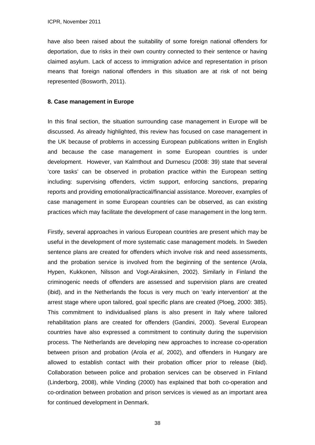have also been raised about the suitability of some foreign national offenders for deportation, due to risks in their own country connected to their sentence or having claimed asylum. Lack of access to immigration advice and representation in prison means that foreign national offenders in this situation are at risk of not being represented (Bosworth, 2011).

#### **8. Case management in Europe**

In this final section, the situation surrounding case management in Europe will be discussed. As already highlighted, this review has focused on case management in the UK because of problems in accessing European publications written in English and because the case management in some European countries is under development. However, van Kalmthout and Durnescu (2008: 39) state that several 'core tasks' can be observed in probation practice within the European setting including: supervising offenders, victim support, enforcing sanctions, preparing reports and providing emotional/practical/financial assistance. Moreover, examples of case management in some European countries can be observed, as can existing practices which may facilitate the development of case management in the long term.

Firstly, several approaches in various European countries are present which may be useful in the development of more systematic case management models. In Sweden sentence plans are created for offenders which involve risk and need assessments, and the probation service is involved from the beginning of the sentence (Arola, Hypen, Kukkonen, Nilsson and Vogt-Airaksinen, 2002). Similarly in Finland the criminogenic needs of offenders are assessed and supervision plans are created (ibid), and in the Netherlands the focus is very much on 'early intervention' at the arrest stage where upon tailored, goal specific plans are created (Ploeg, 2000: 385). This commitment to individualised plans is also present in Italy where tailored rehabilitation plans are created for offenders (Gandini, 2000). Several European countries have also expressed a commitment to continuity during the supervision process. The Netherlands are developing new approaches to increase co-operation between prison and probation (Arola *et al*, 2002), and offenders in Hungary are allowed to establish contact with their probation officer prior to release (ibid). Collaboration between police and probation services can be observed in Finland (Linderborg, 2008), while Vinding (2000) has explained that both co-operation and co-ordination between probation and prison services is viewed as an important area for continued development in Denmark.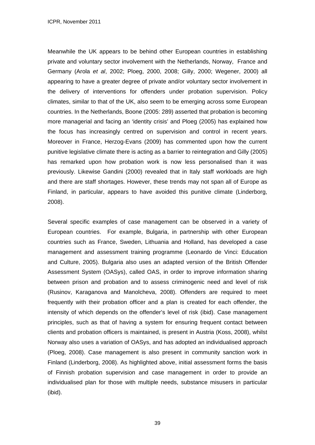Meanwhile the UK appears to be behind other European countries in establishing private and voluntary sector involvement with the Netherlands, Norway, France and Germany (Arola *et al*, 2002; Ploeg, 2000, 2008; Gilly, 2000; Wegener, 2000) all appearing to have a greater degree of private and/or voluntary sector involvement in the delivery of interventions for offenders under probation supervision. Policy climates, similar to that of the UK, also seem to be emerging across some European countries. In the Netherlands, Boone (2005: 289) asserted that probation is becoming more managerial and facing an 'identity crisis' and Ploeg (2005) has explained how the focus has increasingly centred on supervision and control in recent years. Moreover in France, Herzog-Evans (2009) has commented upon how the current punitive legislative climate there is acting as a barrier to reintegration and Gilly (2005) has remarked upon how probation work is now less personalised than it was previously. Likewise Gandini (2000) revealed that in Italy staff workloads are high and there are staff shortages. However, these trends may not span all of Europe as Finland, in particular, appears to have avoided this punitive climate (Linderborg, 2008).

Several specific examples of case management can be observed in a variety of European countries. For example, Bulgaria, in partnership with other European countries such as France, Sweden, Lithuania and Holland, has developed a case management and assessment training programme (Leonardo de Vinci: Education and Culture, 2005). Bulgaria also uses an adapted version of the British Offender Assessment System (OASys), called OAS, in order to improve information sharing between prison and probation and to assess criminogenic need and level of risk (Rusinov, Karaganova and Manolcheva, 2008). Offenders are required to meet frequently with their probation officer and a plan is created for each offender, the intensity of which depends on the offender's level of risk (ibid). Case management principles, such as that of having a system for ensuring frequent contact between clients and probation officers is maintained, is present in Austria (Koss, 2008), whilst Norway also uses a variation of OASys, and has adopted an individualised approach (Ploeg, 2008). Case management is also present in community sanction work in Finland (Linderborg, 2008). As highlighted above, initial assessment forms the basis of Finnish probation supervision and case management in order to provide an individualised plan for those with multiple needs, substance misusers in particular (ibid).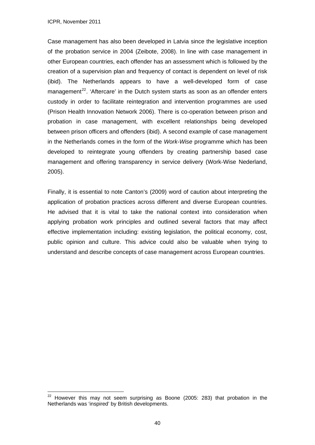<u>.</u>

Case management has also been developed in Latvia since the legislative inception of the probation service in 2004 (Zeibote, 2008). In line with case management in other European countries, each offender has an assessment which is followed by the creation of a supervision plan and frequency of contact is dependent on level of risk (ibid). The Netherlands appears to have a well-developed form of case management<sup>[22](#page-39-0)</sup>. 'Aftercare' in the Dutch system starts as soon as an offender enters custody in order to facilitate reintegration and intervention programmes are used (Prison Health Innovation Network 2006). There is co-operation between prison and probation in case management, with excellent relationships being developed between prison officers and offenders (ibid). A second example of case management in the Netherlands comes in the form of the *Work-Wise* programme which has been developed to reintegrate young offenders by creating partnership based case management and offering transparency in service delivery (Work-Wise Nederland, 2005).

Finally, it is essential to note Canton's (2009) word of caution about interpreting the application of probation practices across different and diverse European countries. He advised that it is vital to take the national context into consideration when applying probation work principles and outlined several factors that may affect effective implementation including: existing legislation, the political economy, cost, public opinion and culture. This advice could also be valuable when trying to understand and describe concepts of case management across European countries.

<span id="page-39-0"></span> $22$  However this may not seem surprising as Boone (2005: 283) that probation in the Netherlands was 'inspired' by British developments.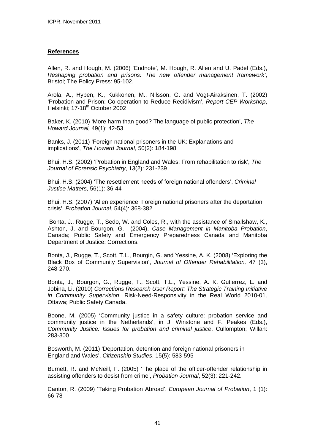# **References**

Allen, R. and Hough, M. (2006) 'Endnote', M. Hough, R. Allen and U. Padel (Eds.), *Reshaping probation and prisons: The new offender management framework'*, Bristol; The Policy Press: 95-102.

Arola, A., Hypen, K., Kukkonen, M., Nilsson, G. and Vogt-Airaksinen, T. (2002) 'Probation and Prison: Co-operation to Reduce Recidivism', *Report CEP Workshop*, Helsinki: 17-18<sup>th</sup> October 2002

Baker, K. (2010) 'More harm than good? The language of public protection', *The Howard Journal,* 49(1): 42-53

Banks, J. (2011) 'Foreign national prisoners in the UK: Explanations and implications', *The Howard Journal*, 50(2): 184-198

Bhui, H.S. (2002) 'Probation in England and Wales: From rehabilitation to risk', *The Journal of Forensic Psychiatry*, 13(2): 231-239

Bhui, H.S. (2004) 'The resettlement needs of foreign national offenders', *Criminal Justice Matters*, 56(1): 36-44

Bhui, H.S. (2007) 'Alien experience: Foreign national prisoners after the deportation crisis', *Probation Journal*, 54(4): 368-382

 Bonta, J., Rugge, T., Sedo, W. and Coles, R., with the assistance of Smallshaw, K., Ashton, J. and Bourgon, G. (2004), *Case Management in Manitoba Probation*, Canada; Public Safety and Emergency Preparedness Canada and Manitoba Department of Justice: Corrections.

Bonta, J., Rugge, T., Scott, T.L., Bourgin, G. and Yessine, A. K. (2008) 'Exploring the Black Box of Community Supervision', *Journal of Offender Rehabilitation,* 47 (3), 248-270.

Bonta, J., Bourgon, G., Rugge, T., Scott, T.L., Yessine, A. K. Gutierrez, L. and Jobina, Li. (2010) *Corrections Research User Report: The Strategic Training Initiative in Community Supervision*; Risk-Need-Responsivity in the Real World 2010-01*,*  Ottawa; Public Safety Canada.

Boone, M. (2005) 'Community justice in a safety culture: probation service and community justice in the Netherlands', in J. Winstone and F. Peakes (Eds.), *Community Justice: Issues for probation and criminal justice*, Cullompton; Willan: 283-300

Bosworth, M. (2011) 'Deportation, detention and foreign national prisoners in England and Wales', *Citizenship Studies*, 15(5): 583-595

Burnett, R. and McNeill, F. (2005) 'The place of the officer-offender relationship in assisting offenders to desist from crime', *Probation Journal*, 52(3): 221-242.

Canton, R. (2009) 'Taking Probation Abroad', *European Journal of Probation*, 1 (1): 66-78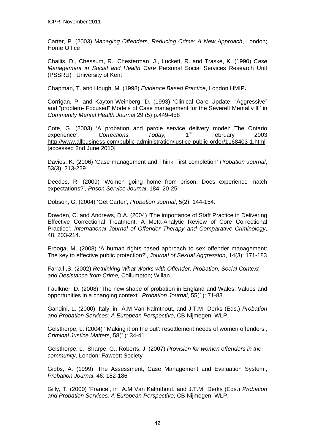Carter, P. (2003) *Managing Offenders, Reducing Crime: A New Approach*, London; Home Office

Challis, D., Chessum, R., Chesterman, J., Luckett, R. and Traske, K. (1990) *Case Management in Social and Health Care* Personal Social Services Research Unit (PSSRU) : University of Kent

Chapman, T. and Hough, M. (1998) *Evidence Based Practice*, London HMIP**.** 

Corrigan, P. and Kayton-Weinberg, D. (1993) 'Clinical Care Update: "Aggressive" and "problem- Focused" Models of Case management for the Severelt Mentally Ill' in *Community Mental Health Journal* 29 (5) p.449-458

Cote, G. (2003) 'A probation and parole service delivery model: The Ontario experience'. Corrections Today 1<sup>st</sup> February 2003 experience', *Corrections Today*, 1<sup>st</sup> February 2003 <http://www.allbusiness.com/public-administration/justice-public-order/1168403-1.html> [accessed 2nd June 2010]

Davies, K. (2006) 'Case management and Think First completion' *Probation Journal*, 53(3): 213-229

Deedes, R. (2009) 'Women going home from prison: Does experience match expectations?', *Prison Service Journal,* 184: 20-25

Dobson, G. (2004) 'Get Carter', *Probation Journal*, 5(2): 144-154.

Dowden, C. and Andrews, D.A. (2004) 'The importance of Staff Practice in Delivering Effective Correctional Treatment: A Meta-Analytic Review of Core Correctional Practice', *International Journal of Offender Therapy and Comparative Criminology*, 48, 203-214.

Erooga, M. (2008) 'A human rights-based approach to sex offender management: The key to effective public protection?', *Journal of Sexual Aggression*, 14(3): 171-183

Farrall ,S. (2002) *Rethinking What Works with Offender: Probation, Social Context and Desistance from Crime,* Collumpton; Willan.

Faulkner, D. (2008) 'The new shape of probation in England and Wales: Values and opportunities in a changing context'. *Probation Journal*, 55(1): 71-83.

Gandini, L. (2000) 'Italy' in A.M Van Kalmthout, and J.T.M Derks (Eds.) *Probation and Probation Services: A European Perspective*, CB Nijmegen, WLP.

Gelsthorpe, L. (2004) ''Making it on the out': resettlement needs of women offenders', *Criminal Justice Matters*, 58(1): 34-41

Gelsthorpe, L., Sharpe, G., Roberts, J. (2007) *Provision for women offenders in the community,* London: Fawcett Society

Gibbs, A. (1999) 'The Assessment, Case Management and Evaluation System', *Probation Journal*, 46: 182-186

Gilly, T. (2000) 'France', in A.M Van Kalmthout, and J.T.M Derks (Eds.) *Probation and Probation Services: A European Perspective*, CB Nijmegen, WLP.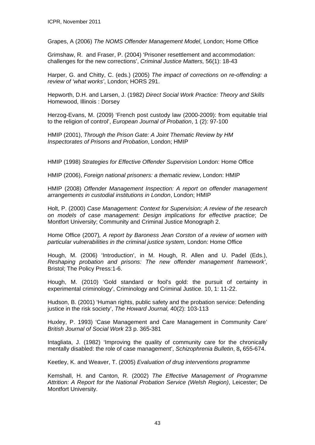Grapes, A (2006) *The NOMS Offender Management Model*, London; Home Office

Grimshaw, R. and Fraser, P. (2004) 'Prisoner resettlement and accommodation: challenges for the new corrections', *Criminal Justice Matters,* 56(1): 18-43

Harper, G. and Chitty, C. (eds.) (2005) *The impact of corrections on re-offending: a review of 'what works'*, London; HORS 291.

Hepworth, D.H. and Larsen, J. (1982) *Direct Social Work Practice: Theory and Skills*  Homewood, Illinois : Dorsey

Herzog-Evans, M. (2009) 'French post custody law (2000-2009): from equitable trial to the religion of control', *European Journal of Probation*, 1 (2): 97-100

HMIP (2001), *Through the Prison Gate: A Joint Thematic Review by HM Inspectorates of Prisons and Probation*, London; HMIP

HMIP (1998) *Strategies for Effective Offender Supervision* London: Home Office

HMIP (2006), *Foreign national prisoners: a thematic review*, London: HMIP

HMIP (2008) *Offender Management Inspection: A report on offender management arrangements in custodial institutions in London*, London; HMIP

Holt, P. (2000) *Case Management: Context for Supervision; A review of the research on models of case management: Design implications for effective practice*; De Montfort University; Community and Criminal Justice Monograph 2.

Home Office (2007)*, A report by Baroness Jean Corston of a review of women with particular vulnerabilities in the criminal justice system*, London: Home Office

Hough, M. (2006) 'Introduction', in M. Hough, R. Allen and U. Padel (Eds.), *Reshaping probation and prisons: The new offender management framework'*, Bristol; The Policy Press:1-6.

Hough, M. (2010) 'Gold standard or fool's gold: the pursuit of certainty in experimental criminology', Criminology and Criminal Justice. 10, 1: 11-22.

Hudson, B. (2001) 'Human rights, public safety and the probation service: Defending justice in the risk society', *The Howard Journal,* 40(2): 103-113

Huxley, P. 1993) 'Case Management and Care Management in Community Care' *British Journal of Social Work* 23 p. 365-381

Intagliata, J. (1982) 'Improving the quality of community care for the chronically mentally disabled: the role of case management', *Schizophrenia Bulletin*, 8**,** 655-674.

Keetley, K. and Weaver, T. (2005) *Evaluation of drug interventions programme*

Kemshall, H. and Canton, R. (2002) *The Effective Management of Programme Attrition: A Report for the National Probation Service (Welsh Region)*, Leicester; De Montfort University.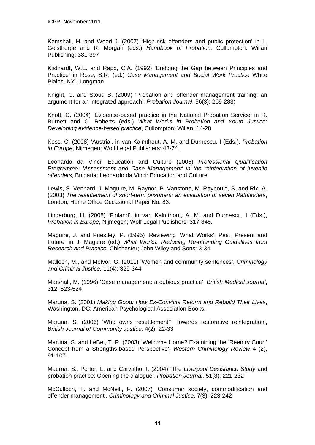Kemshall, H. and Wood J. (2007) 'High-risk offenders and public protection' in L. Gelsthorpe and R. Morgan (eds.) *Handbook of Probation,* Cullumpton: Willan Publishing: 381-397

Kisthardt, W.E. and Rapp, C.A. (1992) 'Bridging the Gap between Principles and Practice' in Rose, S.R. (ed.) *Case Management and Social Work Practice* White Plains, NY : Longman

Knight, C. and Stout, B. (2009) 'Probation and offender management training: an argument for an integrated approach', *Probation Journal*, 56(3): 269-283)

Knott, C. (2004) 'Evidence-based practice in the National Probation Service' in R. Burnett and C. Roberts (eds.) *What Works in Probation and Youth Justice: Developing evidence-based practice*, Cullompton; Willan: 14-28

Koss, C. (2008) 'Austria', in van Kalmthout, A. M. and Durnescu, I (Eds.), *Probation in Europe*, Nijmegen; Wolf Legal Publishers: 43-74.

Leonardo da Vinci: Education and Culture (2005) *Professional Qualification Programme: 'Assessment and Case Management' in the reintegration of juvenile offenders*, Bulgaria; Leonardo da Vinci: Education and Culture.

Lewis, S. Vennard, J. Maguire, M. Raynor, P. Vanstone, M. Raybould, S. and Rix, A. (2003) *The resettlement of short-term prisoners: an evaluation of seven Pathfinders*, London; Home Office Occasional Paper No. 83.

Linderborg, H. (2008) 'Finland', in van Kalmthout, A. M. and Durnescu, I (Eds.), *Probation in Europe*, Nijmegen; Wolf Legal Publishers: 317-348.

Maguire, J. and Priestley, P. (1995) 'Reviewing 'What Works': Past, Present and Future' in J. Maguire (ed.) *What Works: Reducing Re-offending Guidelines from Research and Practice,* Chichester; John Wiley and Sons: 3-34.

Malloch, M., and McIvor, G. (2011) 'Women and community sentences', *Criminology and Criminal Justice,* 11(4): 325-344

Marshall, M. (1996) 'Case management: a dubious practice', *British Medical Journal*, 312: 523-524

Maruna, S. (2001) *Making Good: How Ex-Convicts Reform and Rebuild Their Lives*, Washington, DC: American Psychological Association Books**.** 

Maruna, S. (2006) 'Who owns resettlement? Towards restorative reintegration', *British Journal of Community Justice,* 4(2): 22-33

Maruna, S. and LeBel, T. P. (2003) 'Welcome Home? Examining the 'Reentry Court' Concept from a Strengths-based Perspective', *Western Criminology Review* 4 (2), 91-107.

Maurna, S., Porter, L. and Carvalho, I. (2004) 'The *Liverpool Desistance Study* and probation practice: Opening the dialogue'*, Probation Journal*, 51(3): 221-232

McCulloch, T. and McNeill, F. (2007) 'Consumer society, commodification and offender management', *Criminology and Criminal Justice*, 7(3): 223-242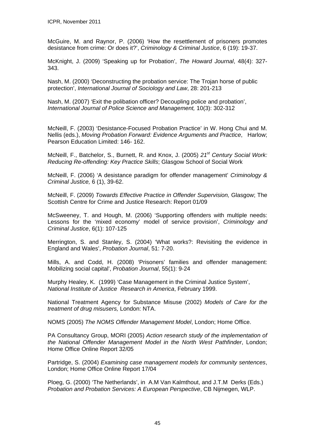McGuire, M. and Raynor, P. (2006) 'How the resettlement of prisoners promotes desistance from crime: Or does it?', *Criminology & Criminal Justice*, 6 (19): 19-37.

McKnight, J. (2009) 'Speaking up for Probation', *The Howard Journal*, 48(4): 327- 343.

Nash, M. (2000) 'Deconstructing the probation service: The Trojan horse of public protection', *International Journal of Sociology and Law*, 28: 201-213

Nash, M. (2007) 'Exit the polibation officer? Decoupling police and probation', *International Journal of Police Science and Management,* 10(3): 302-312

McNeill, F. (2003) 'Desistance-Focused Probation Practice' in W. Hong Chui and M. Nellis (eds.), *Moving Probation Forward: Evidence Arguments and Practice*, Harlow; Pearson Education Limited: 146- 162.

McNeill, F., Batchelor, S., Burnett, R. and Knox, J. (2005) *21st Century Social Work: Reducing Re-offending: Key Practice Skills*; Glasgow School of Social Work

McNeill, F. (2006) 'A desistance paradigm for offender management' *Criminology & Criminal Justice,* 6 (1), 39-62.

McNeill, F. (2009) *Towards Effective Practice in Offender Supervision,* Glasgow; The Scottish Centre for Crime and Justice Research: Report 01/09

McSweeney, T. and Hough, M. (2006) 'Supporting offenders with multiple needs: Lessons for the 'mixed economy' model of service provision', *Criminology and Criminal Justice*, 6(1): 107-125

Merrington, S. and Stanley, S. (2004) 'What works?: Revisiting the evidence in England and Wales', *Probation Journal*, 51: 7-20.

Mills, A. and Codd, H. (2008) 'Prisoners' families and offender management: Mobilizing social capital', *Probation Journal*, 55(1): 9-24

Murphy Healey, K. (1999) 'Case Management in the Criminal Justice System', *National Institute of Justice Research in America*, February 1999.

National Treatment Agency for Substance Misuse (2002) *Models of Care for the treatment of drug misusers,* London: NTA.

NOMS (2005) *The NOMS Offender Management Model*, London; Home Office.

PA Consultancy Group, MORI (2005) *Action research study of the implementation of the National Offender Management Model in the North West Pathfinder*, London; Home Office Online Report 32/05

Partridge, S. (2004) *Examining case management models for community sentences*, London; Home Office Online Report 17/04

Ploeg, G. (2000) 'The Netherlands', in A.M Van Kalmthout, and J.T.M Derks (Eds.) *Probation and Probation Services: A European Perspective*, CB Nijmegen, WLP.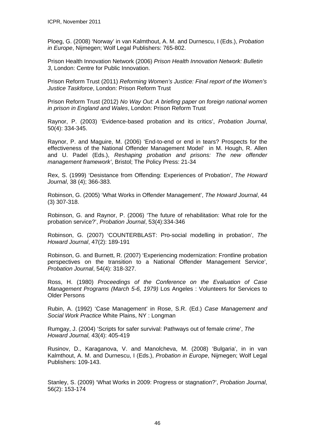Ploeg, G. (2008) 'Norway' in van Kalmthout, A. M. and Durnescu, I (Eds.), *Probation in Europe*, Nijmegen; Wolf Legal Publishers: 765-802.

Prison Health Innovation Network (2006) *Prison Health Innovation Network: Bulletin 3*, London: Centre for Public Innovation.

Prison Reform Trust (2011) *Reforming Women's Justice: Final report of the Women's Justice Taskforce*, London: Prison Reform Trust

Prison Reform Trust (2012) *No Way Out: A briefing paper on foreign national women in prison in England and Wales*, London: Prison Reform Trust

Raynor, P. (2003) 'Evidence-based probation and its critics', *Probation Journal*, 50(4): 334-345.

Raynor, P. and Maguire, M. (2006) 'End-to-end or end in tears? Prospects for the effectiveness of the National Offender Management Model' in M. Hough, R. Allen and U. Padel (Eds.), *Reshaping probation and prisons: The new offender management framework'*, Bristol; The Policy Press: 21-34

Rex, S. (1999) 'Desistance from Offending: Experiences of Probation', *The Howard Journal*, 38 (4); 366-383.

Robinson, G. (2005) 'What Works in Offender Management', *The Howard Journal*, 44 (3) 307-318.

Robinson, G. and Raynor, P. (2006) 'The future of rehabilitation: What role for the probation service?', *Probation Journal*, 53(4):334-346

Robinson, G. (2007) 'COUNTERBLAST: Pro-social modelling in probation', *The Howard Journal*, 47(2): 189-191

Robinson, G. and Burnett, R. (2007) 'Experiencing modernization: Frontline probation perspectives on the transition to a National Offender Management Service', *Probation Journal*, 54(4): 318-327.

Ross, H. (1980) *Proceedings of the Conference on the Evaluation of Case Management Programs (March 5-6, 1979)* Los Angeles : Volunteers for Services to Older Persons

Rubin, A. (1992) 'Case Management' in Rose, S.R. (Ed.) *Case Management and Social Work Practice* White Plains, NY : Longman

Rumgay, J. (2004) 'Scripts for safer survival: Pathways out of female crime', *The Howard Journal,* 43(4): 405-419

Rusinov, D., Karaganova, V. and Manolcheva, M. (2008) 'Bulgaria', in in van Kalmthout, A. M. and Durnescu, I (Eds.), *Probation in Europe*, Nijmegen; Wolf Legal Publishers: 109-143.

Stanley, S. (2009) 'What Works in 2009: Progress or stagnation?', *Probation Journal*, 56(2): 153-174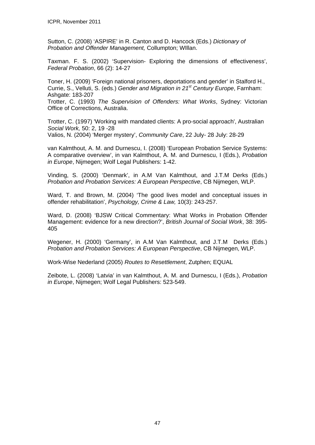Sutton, C. (2008) 'ASPIRE' in R. Canton and D. Hancock (Eds.) *Dictionary of Probation and Offender Management,* Collumpton; WIllan.

Taxman. F. S. (2002) 'Supervision- Exploring the dimensions of effectiveness', *Federal Probation*, 66 (2): 14-27

Toner, H. (2009) 'Foreign national prisoners, deportations and gender' in Stalford H., Currie, S., Velluti, S. (eds.) *Gender and Migration in 21st Century Europe*, Farnham: Ashgate: 183-207

Trotter, C. (1993) *The Supervision of Offenders: What Works*, Sydney: Victorian Office of Corrections, Australia.

Trotter, C. (1997) 'Working with mandated clients: A pro-social approach', Australian *Social Work,* 50: 2, 19 -28

Valios, N. (2004) 'Merger mystery', *Community Care*, 22 July- 28 July: 28-29

van Kalmthout, A. M. and Durnescu, I. (2008) 'European Probation Service Systems: A comparative overview', in van Kalmthout, A. M. and Durnescu, I (Eds.), *Probation in Europe*, Nijmegen; Wolf Legal Publishers: 1-42.

Vinding, S. (2000) 'Denmark', in A.M Van Kalmthout, and J.T.M Derks (Eds.) *Probation and Probation Services: A European Perspective*, CB Nijmegen, WLP.

Ward, T. and Brown, M. (2004) 'The good lives model and conceptual issues in offender rehabilitation', *Psychology, Crime & Law,* 10(3): 243-257.

Ward, D. (2008) 'BJSW Critical Commentary: What Works in Probation Offender Management: evidence for a new direction?', *British Journal of Social Work*, 38: 395- 405

Wegener, H. (2000) 'Germany', in A.M Van Kalmthout, and J.T.M Derks (Eds.) *Probation and Probation Services: A European Perspective*, CB Nijmegen, WLP.

Work-Wise Nederland (2005) *Routes to Resettlement*, Zutphen; EQUAL

Zeibote, L. (2008) 'Latvia' in van Kalmthout, A. M. and Durnescu, I (Eds.), *Probation in Europe*, Nijmegen; Wolf Legal Publishers: 523-549.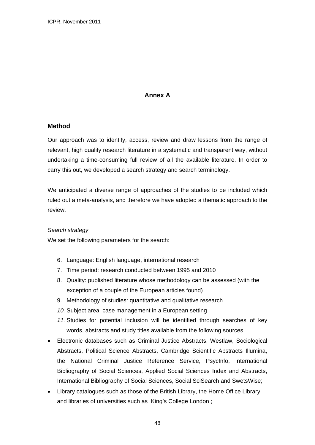# **Annex A**

# **Method**

Our approach was to identify, access, review and draw lessons from the range of relevant, high quality research literature in a systematic and transparent way, without undertaking a time-consuming full review of all the available literature. In order to carry this out, we developed a search strategy and search terminology.

We anticipated a diverse range of approaches of the studies to be included which ruled out a meta-analysis, and therefore we have adopted a thematic approach to the review.

#### *Search strategy*

We set the following parameters for the search:

- 6. Language: English language, international research
- 7. Time period: research conducted between 1995 and 2010
- 8. Quality: published literature whose methodology can be assessed (with the exception of a couple of the European articles found)
- 9. Methodology of studies: quantitative and qualitative research
- *10.* Subject area: case management in a European setting
- *11.* Studies for potential inclusion will be identified through searches of key words, abstracts and study titles available from the following sources:
- Electronic databases such as Criminal Justice Abstracts, Westlaw, Sociological Abstracts, Political Science Abstracts, Cambridge Scientific Abstracts Illumina, the National Criminal Justice Reference Service, PsycInfo, International Bibliography of Social Sciences, Applied Social Sciences Index and Abstracts, International Bibliography of Social Sciences, Social SciSearch and SwetsWise;
- Library catalogues such as those of the British Library, the Home Office Library and libraries of universities such as King's College London ;